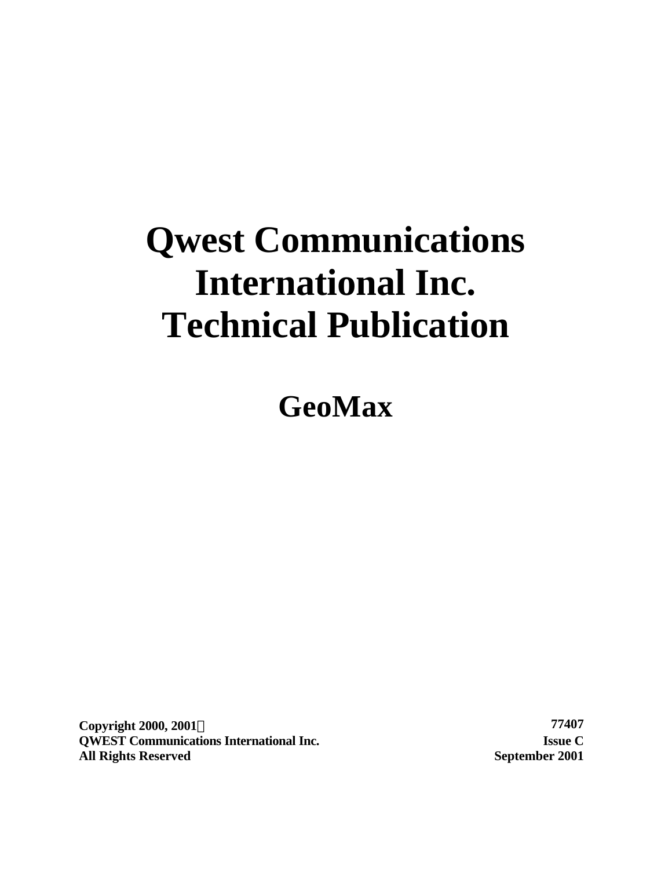# **Qwest Communications International Inc. Technical Publication**

**GeoMax**

**Copyright 2000, 2001Ó 77407 QWEST Communications International Inc. Issue C All Rights Reserved September 2001**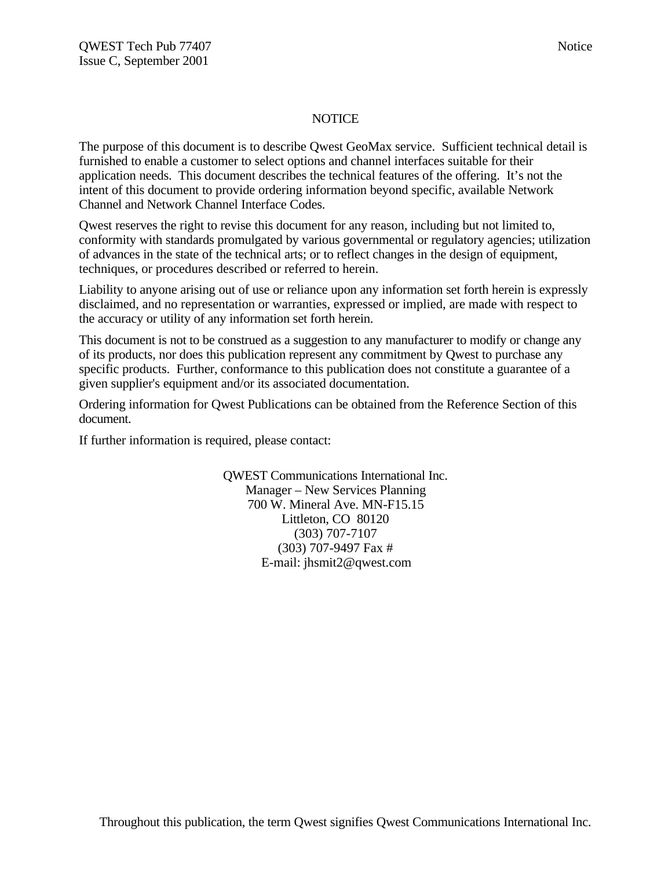#### NOTICE

The purpose of this document is to describe Qwest GeoMax service. Sufficient technical detail is furnished to enable a customer to select options and channel interfaces suitable for their application needs. This document describes the technical features of the offering. It's not the intent of this document to provide ordering information beyond specific, available Network Channel and Network Channel Interface Codes.

Qwest reserves the right to revise this document for any reason, including but not limited to, conformity with standards promulgated by various governmental or regulatory agencies; utilization of advances in the state of the technical arts; or to reflect changes in the design of equipment, techniques, or procedures described or referred to herein.

Liability to anyone arising out of use or reliance upon any information set forth herein is expressly disclaimed, and no representation or warranties, expressed or implied, are made with respect to the accuracy or utility of any information set forth herein.

This document is not to be construed as a suggestion to any manufacturer to modify or change any of its products, nor does this publication represent any commitment by Qwest to purchase any specific products. Further, conformance to this publication does not constitute a guarantee of a given supplier's equipment and/or its associated documentation.

Ordering information for Qwest Publications can be obtained from the Reference Section of this document.

If further information is required, please contact:

QWEST Communications International Inc. Manager – New Services Planning 700 W. Mineral Ave. MN-F15.15 Littleton, CO 80120 (303) 707-7107 (303) 707-9497 Fax # E-mail: jhsmit2@qwest.com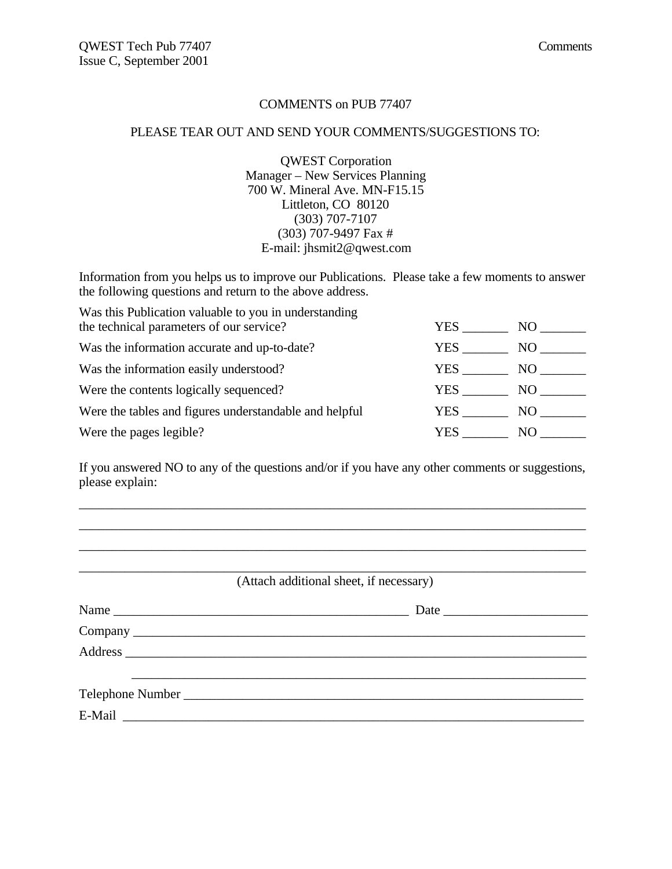#### COMMENTS on PUB 77407

#### PLEASE TEAR OUT AND SEND YOUR COMMENTS/SUGGESTIONS TO:

QWEST Corporation Manager – New Services Planning 700 W. Mineral Ave. MN-F15.15 Littleton, CO 80120 (303) 707-7107 (303) 707-9497 Fax # E-mail: jhsmit2@qwest.com

Information from you helps us to improve our Publications. Please take a few moments to answer the following questions and return to the above address.

| Was this Publication valuable to you in understanding  |      |     |
|--------------------------------------------------------|------|-----|
| the technical parameters of our service?               | YES. | NO. |
| Was the information accurate and up-to-date?           | YES. | NO. |
| Was the information easily understood?                 | YES. | NO. |
| Were the contents logically sequenced?                 | YES  | NO. |
| Were the tables and figures understandable and helpful | YES  | NO  |
| Were the pages legible?                                | YES. | NO. |

If you answered NO to any of the questions and/or if you have any other comments or suggestions, please explain:

\_\_\_\_\_\_\_\_\_\_\_\_\_\_\_\_\_\_\_\_\_\_\_\_\_\_\_\_\_\_\_\_\_\_\_\_\_\_\_\_\_\_\_\_\_\_\_\_\_\_\_\_\_\_\_\_\_\_\_\_\_\_\_\_\_\_\_\_\_\_\_\_\_\_\_\_\_ \_\_\_\_\_\_\_\_\_\_\_\_\_\_\_\_\_\_\_\_\_\_\_\_\_\_\_\_\_\_\_\_\_\_\_\_\_\_\_\_\_\_\_\_\_\_\_\_\_\_\_\_\_\_\_\_\_\_\_\_\_\_\_\_\_\_\_\_\_\_\_\_\_\_\_\_\_ \_\_\_\_\_\_\_\_\_\_\_\_\_\_\_\_\_\_\_\_\_\_\_\_\_\_\_\_\_\_\_\_\_\_\_\_\_\_\_\_\_\_\_\_\_\_\_\_\_\_\_\_\_\_\_\_\_\_\_\_\_\_\_\_\_\_\_\_\_\_\_\_\_\_\_\_\_

\_\_\_\_\_\_\_\_\_\_\_\_\_\_\_\_\_\_\_\_\_\_\_\_\_\_\_\_\_\_\_\_\_\_\_\_\_\_\_\_\_\_\_\_\_\_\_\_\_\_\_\_\_\_\_\_\_\_\_\_\_\_\_\_\_\_\_\_\_\_\_\_\_\_\_\_\_ (Attach additional sheet, if necessary)

| Name | Date |
|------|------|
|      |      |
|      |      |
|      |      |
|      |      |
|      |      |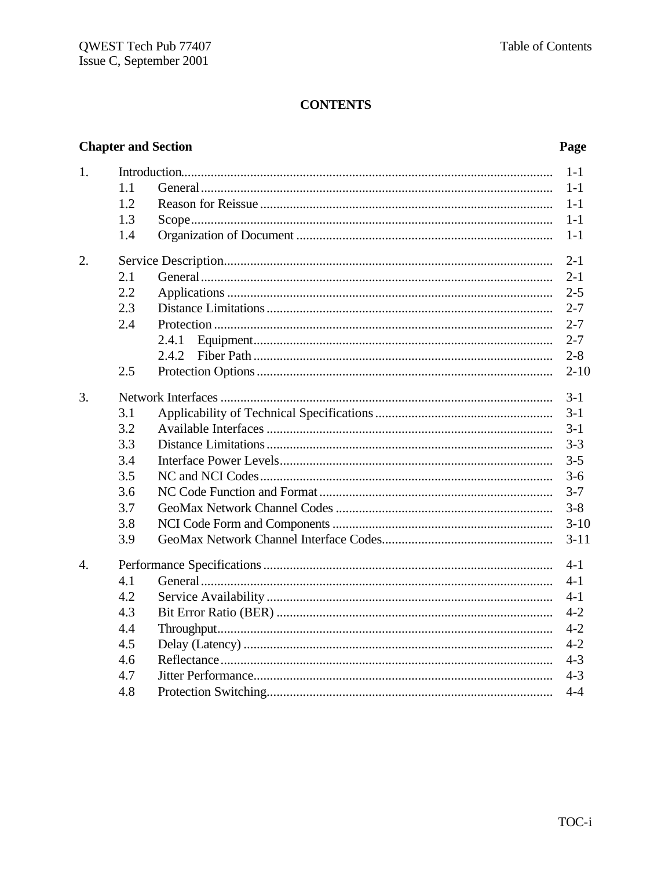# **CONTENTS**

# **Chapter and Section**

# Page

| 1.               |     | $1-1$    |
|------------------|-----|----------|
|                  | 1.1 | $1-1$    |
|                  | 1.2 | $1-1$    |
|                  | 1.3 | $1-1$    |
|                  | 1.4 | $1-1$    |
| 2.               |     | $2 - 1$  |
|                  | 2.1 | $2 - 1$  |
|                  | 2.2 | $2 - 5$  |
|                  | 2.3 | $2 - 7$  |
|                  | 2.4 | $2 - 7$  |
|                  |     | $2 - 7$  |
|                  |     | $2 - 8$  |
|                  | 2.5 | $2 - 10$ |
| 3.               |     | $3 - 1$  |
|                  | 3.1 | $3 - 1$  |
|                  | 3.2 | $3 - 1$  |
|                  | 3.3 | $3 - 3$  |
|                  | 3.4 | $3 - 5$  |
|                  | 3.5 | $3-6$    |
|                  | 3.6 | $3 - 7$  |
|                  | 3.7 | $3 - 8$  |
|                  | 3.8 | $3-10$   |
|                  | 3.9 | $3 - 11$ |
| $\overline{4}$ . |     | $4 - 1$  |
|                  | 4.1 | $4 - 1$  |
|                  | 4.2 | $4 - 1$  |
|                  | 4.3 | $4 - 2$  |
|                  | 4.4 | $4 - 2$  |
|                  | 4.5 | $4 - 2$  |
|                  | 4.6 | $4 - 3$  |
|                  | 4.7 | $4 - 3$  |
|                  | 4.8 | $4 - 4$  |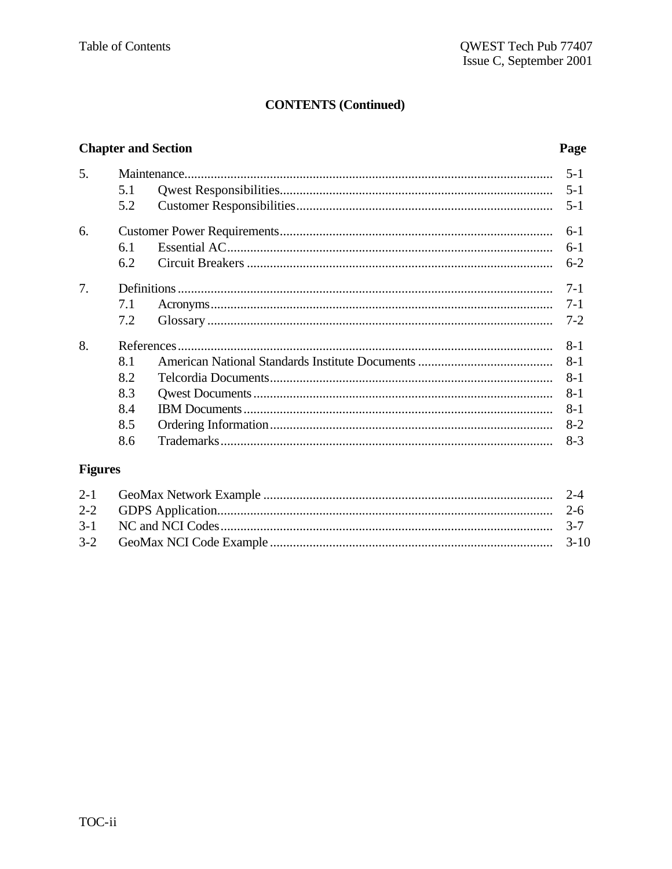# **CONTENTS (Continued)**

# **Chapter and Section**

# Page

| $5 - 1$<br>5.1<br>5.2<br>$5 - 1$<br>$6-1$<br>$6 - 1$<br>6.1<br>$6-2$<br>6.2<br>$7 - 1$<br>$7-1$<br>7.1<br>7.2<br>$7 - 2$<br>$8 - 1$<br>8.1<br>$8 - 1$<br>8.2<br>8-1<br>8.3<br>8-1<br>8.4<br>$8 - 1$<br>8.5<br>$8-2$<br>8.6<br>$8-3$ | 5. |  | $5 - 1$ |
|-------------------------------------------------------------------------------------------------------------------------------------------------------------------------------------------------------------------------------------|----|--|---------|
|                                                                                                                                                                                                                                     |    |  |         |
|                                                                                                                                                                                                                                     |    |  |         |
|                                                                                                                                                                                                                                     | 6. |  |         |
|                                                                                                                                                                                                                                     |    |  |         |
|                                                                                                                                                                                                                                     |    |  |         |
|                                                                                                                                                                                                                                     | 7. |  |         |
|                                                                                                                                                                                                                                     |    |  |         |
|                                                                                                                                                                                                                                     |    |  |         |
|                                                                                                                                                                                                                                     | 8. |  |         |
|                                                                                                                                                                                                                                     |    |  |         |
|                                                                                                                                                                                                                                     |    |  |         |
|                                                                                                                                                                                                                                     |    |  |         |
|                                                                                                                                                                                                                                     |    |  |         |
|                                                                                                                                                                                                                                     |    |  |         |
|                                                                                                                                                                                                                                     |    |  |         |

# **Figures**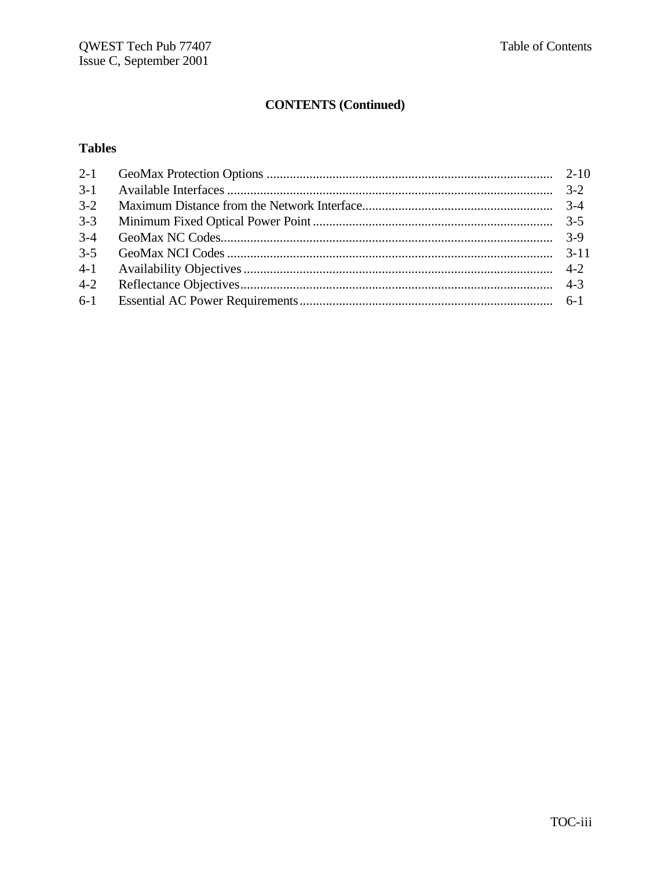# **CONTENTS (Continued)**

# **Tables**

| $3-1$   |  |
|---------|--|
| $3-2$   |  |
| $3 - 3$ |  |
| $3-4$   |  |
| $3 - 5$ |  |
| $4 - 1$ |  |
| $4 - 2$ |  |
|         |  |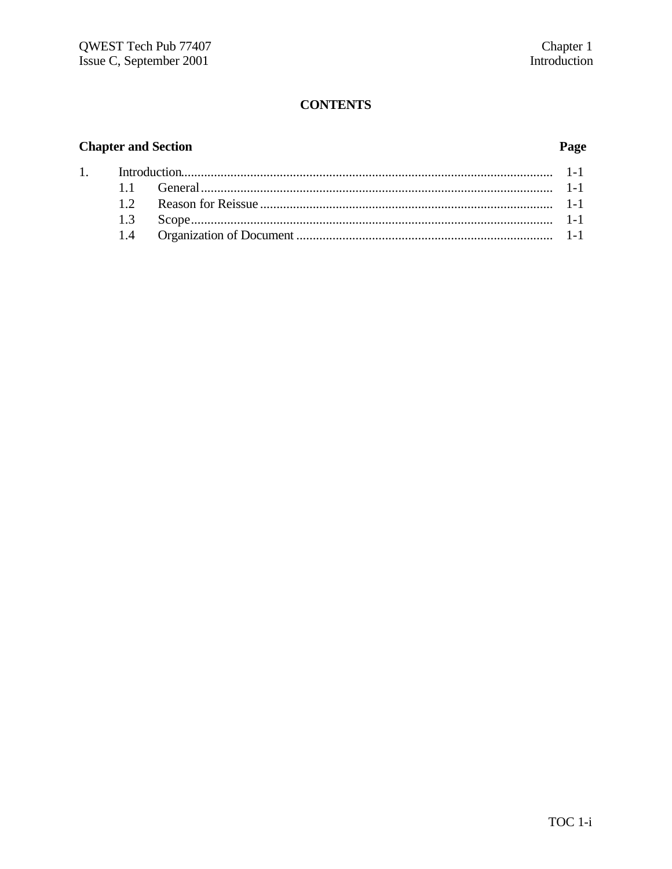# **CONTENTS**

# **Chapter and Section**

 $\overline{1}$ .

# Page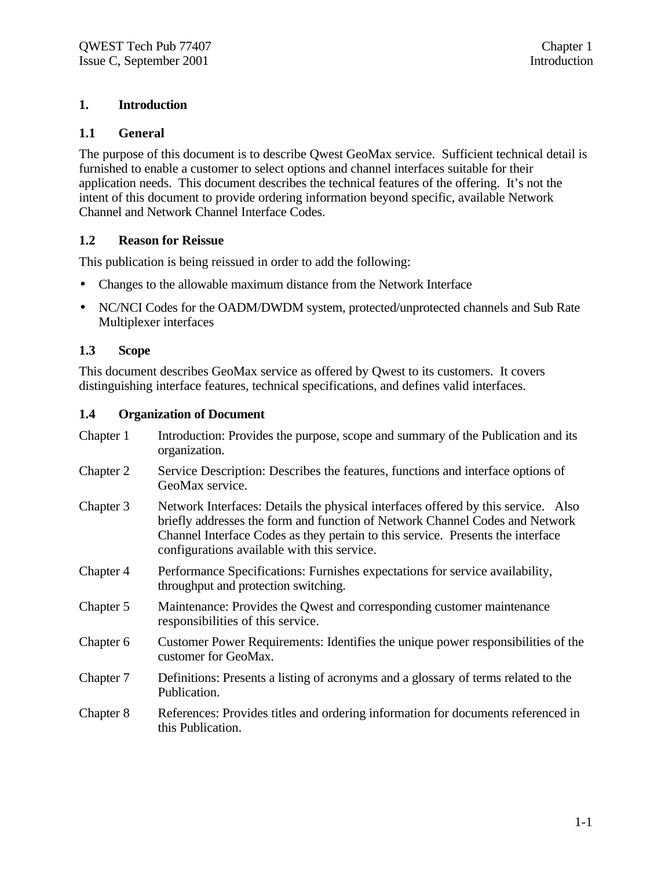# **1. Introduction**

# **1.1 General**

The purpose of this document is to describe Qwest GeoMax service. Sufficient technical detail is furnished to enable a customer to select options and channel interfaces suitable for their application needs. This document describes the technical features of the offering. It's not the intent of this document to provide ordering information beyond specific, available Network Channel and Network Channel Interface Codes.

# **1.2 Reason for Reissue**

This publication is being reissued in order to add the following:

- Changes to the allowable maximum distance from the Network Interface
- NC/NCI Codes for the OADM/DWDM system, protected/unprotected channels and Sub Rate Multiplexer interfaces

# **1.3 Scope**

This document describes GeoMax service as offered by Qwest to its customers. It covers distinguishing interface features, technical specifications, and defines valid interfaces.

#### **1.4 Organization of Document**

| Chapter 1 | Introduction: Provides the purpose, scope and summary of the Publication and its<br>organization.                                                                                                                                                                                                   |
|-----------|-----------------------------------------------------------------------------------------------------------------------------------------------------------------------------------------------------------------------------------------------------------------------------------------------------|
| Chapter 2 | Service Description: Describes the features, functions and interface options of<br>GeoMax service.                                                                                                                                                                                                  |
| Chapter 3 | Network Interfaces: Details the physical interfaces offered by this service. Also<br>briefly addresses the form and function of Network Channel Codes and Network<br>Channel Interface Codes as they pertain to this service. Presents the interface<br>configurations available with this service. |
| Chapter 4 | Performance Specifications: Furnishes expectations for service availability,<br>throughput and protection switching.                                                                                                                                                                                |
| Chapter 5 | Maintenance: Provides the Qwest and corresponding customer maintenance<br>responsibilities of this service.                                                                                                                                                                                         |
| Chapter 6 | Customer Power Requirements: Identifies the unique power responsibilities of the<br>customer for GeoMax.                                                                                                                                                                                            |
| Chapter 7 | Definitions: Presents a listing of acronyms and a glossary of terms related to the<br>Publication.                                                                                                                                                                                                  |
| Chapter 8 | References: Provides titles and ordering information for documents referenced in<br>this Publication.                                                                                                                                                                                               |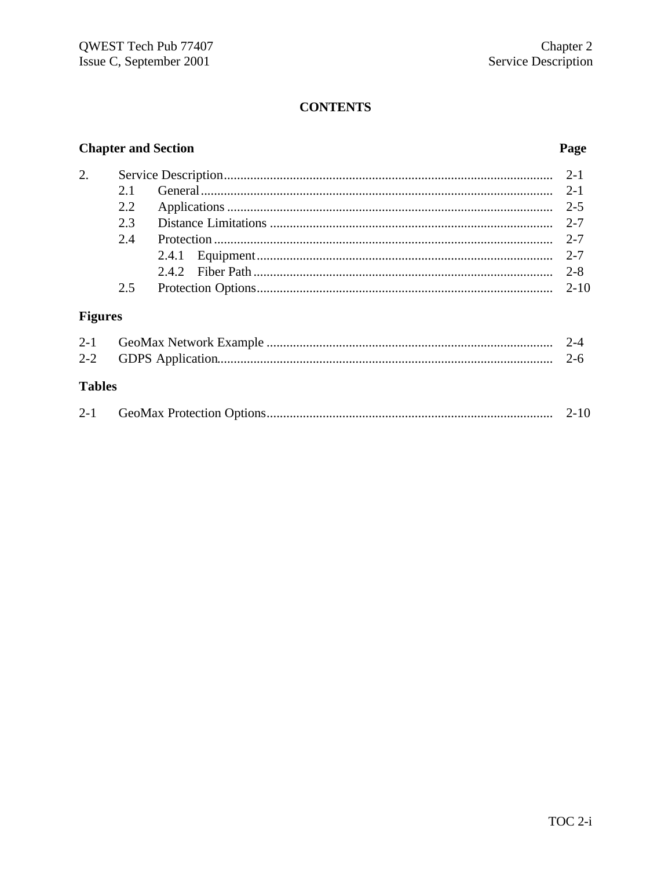# **CONTENTS**

# **Chapter and Section**

# Page

| 2.             |      |  |
|----------------|------|--|
|                | 21   |  |
|                | 2.2. |  |
|                | 2.3  |  |
|                | 2.4  |  |
|                |      |  |
|                |      |  |
|                | 2.5  |  |
| <b>Figures</b> |      |  |

| <b>Tables</b> |  |
|---------------|--|
|               |  |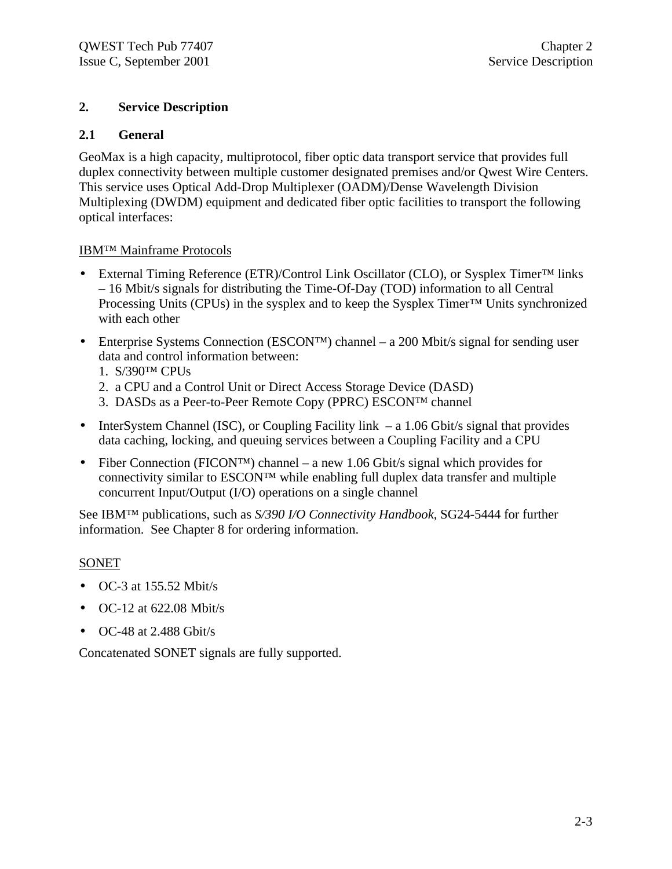# **2. Service Description**

# **2.1 General**

GeoMax is a high capacity, multiprotocol, fiber optic data transport service that provides full duplex connectivity between multiple customer designated premises and/or Qwest Wire Centers. This service uses Optical Add-Drop Multiplexer (OADM)/Dense Wavelength Division Multiplexing (DWDM) equipment and dedicated fiber optic facilities to transport the following optical interfaces:

# IBM™ Mainframe Protocols

- External Timing Reference (ETR)/Control Link Oscillator (CLO), or Sysplex Timer™ links – 16 Mbit/s signals for distributing the Time-Of-Day (TOD) information to all Central Processing Units (CPUs) in the sysplex and to keep the Sysplex Timer™ Units synchronized with each other
- Enterprise Systems Connection (ESCON™) channel a 200 Mbit/s signal for sending user data and control information between:
	- 1. S/390™ CPUs
	- 2. a CPU and a Control Unit or Direct Access Storage Device (DASD)
	- 3. DASDs as a Peer-to-Peer Remote Copy (PPRC) ESCON™ channel
- InterSystem Channel (ISC), or Coupling Facility link a 1.06 Gbit/s signal that provides data caching, locking, and queuing services between a Coupling Facility and a CPU
- Fiber Connection (FICON<sup>™</sup>) channel a new 1.06 Gbit/s signal which provides for connectivity similar to ESCON™ while enabling full duplex data transfer and multiple concurrent Input/Output (I/O) operations on a single channel

See IBM™ publications, such as *S/390 I/O Connectivity Handbook*, SG24-5444 for further information. See Chapter 8 for ordering information.

# SONET

- $\bullet$  OC-3 at 155.52 Mbit/s
- $\bullet$  OC-12 at 622.08 Mbit/s
- $\bullet$  OC-48 at 2.488 Gbit/s

Concatenated SONET signals are fully supported.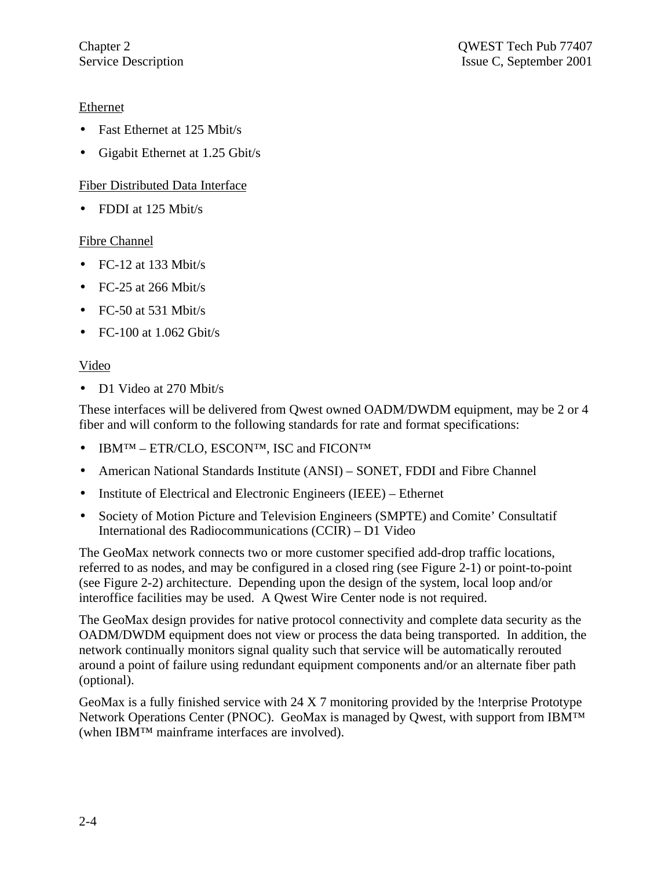# Ethernet

- Fast Ethernet at 125 Mbit/s
- Gigabit Ethernet at 1.25 Gbit/s

# Fiber Distributed Data Interface

• FDDI at 125 Mbit/s

# Fibre Channel

- FC-12 at 133 Mbit/s
- FC-25 at 266 Mbit/s
- FC-50 at 531 Mbit/s
- FC-100 at  $1.062$  Gbit/s

# Video

• D1 Video at 270 Mbit/s

These interfaces will be delivered from Qwest owned OADM/DWDM equipment, may be 2 or 4 fiber and will conform to the following standards for rate and format specifications:

- IBM™ ETR/CLO, ESCON™, ISC and FICON™
- American National Standards Institute (ANSI) SONET, FDDI and Fibre Channel
- Institute of Electrical and Electronic Engineers (IEEE) Ethernet
- Society of Motion Picture and Television Engineers (SMPTE) and Comite' Consultatif International des Radiocommunications (CCIR) – D1 Video

The GeoMax network connects two or more customer specified add-drop traffic locations, referred to as nodes, and may be configured in a closed ring (see Figure 2-1) or point-to-point (see Figure 2-2) architecture. Depending upon the design of the system, local loop and/or interoffice facilities may be used. A Qwest Wire Center node is not required.

The GeoMax design provides for native protocol connectivity and complete data security as the OADM/DWDM equipment does not view or process the data being transported. In addition, the network continually monitors signal quality such that service will be automatically rerouted around a point of failure using redundant equipment components and/or an alternate fiber path (optional).

GeoMax is a fully finished service with 24 X 7 monitoring provided by the !nterprise Prototype Network Operations Center (PNOC). GeoMax is managed by Qwest, with support from IBM<sup>™</sup> (when IBM™ mainframe interfaces are involved).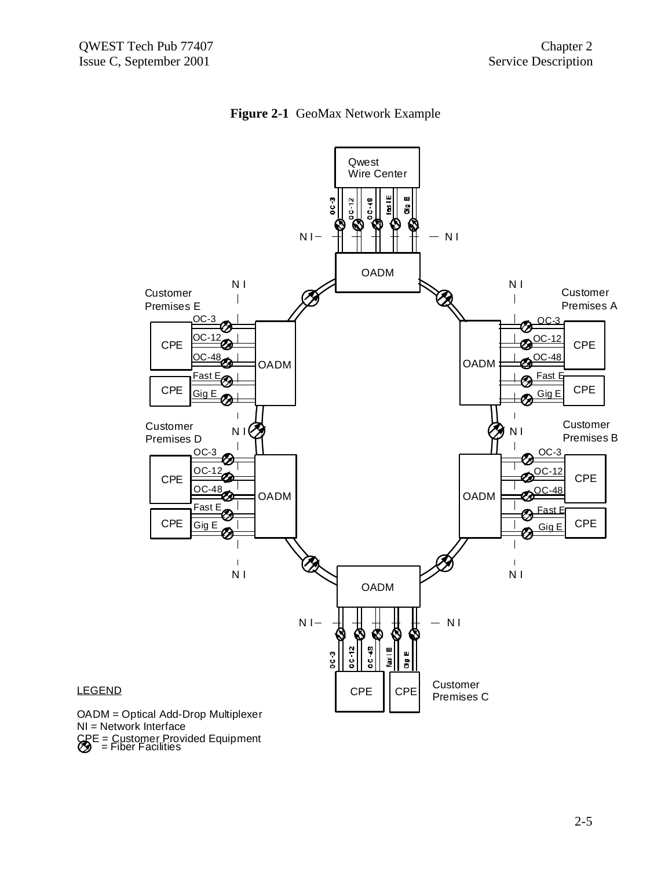



#### **LEGEND**

CRE = Customer Provided Equipment<br>
S = Fiber Facilities OADM = Optical Add-Drop Multiplexer NI = Network Interface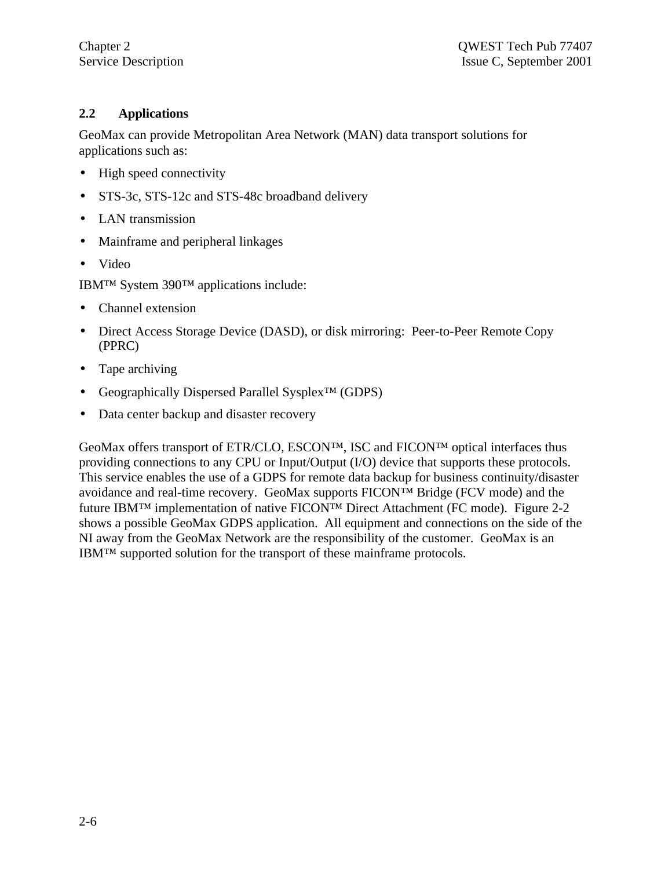# **2.2 Applications**

GeoMax can provide Metropolitan Area Network (MAN) data transport solutions for applications such as:

- High speed connectivity
- STS-3c, STS-12c and STS-48c broadband delivery
- LAN transmission
- Mainframe and peripheral linkages
- Video

IBM™ System 390™ applications include:

- Channel extension
- Direct Access Storage Device (DASD), or disk mirroring: Peer-to-Peer Remote Copy (PPRC)
- Tape archiving
- Geographically Dispersed Parallel Sysplex™ (GDPS)
- Data center backup and disaster recovery

GeoMax offers transport of ETR/CLO, ESCON™, ISC and FICON™ optical interfaces thus providing connections to any CPU or Input/Output (I/O) device that supports these protocols. This service enables the use of a GDPS for remote data backup for business continuity/disaster avoidance and real-time recovery. GeoMax supports FICON™ Bridge (FCV mode) and the future IBM™ implementation of native FICON™ Direct Attachment (FC mode). Figure 2-2 shows a possible GeoMax GDPS application. All equipment and connections on the side of the NI away from the GeoMax Network are the responsibility of the customer. GeoMax is an IBM™ supported solution for the transport of these mainframe protocols.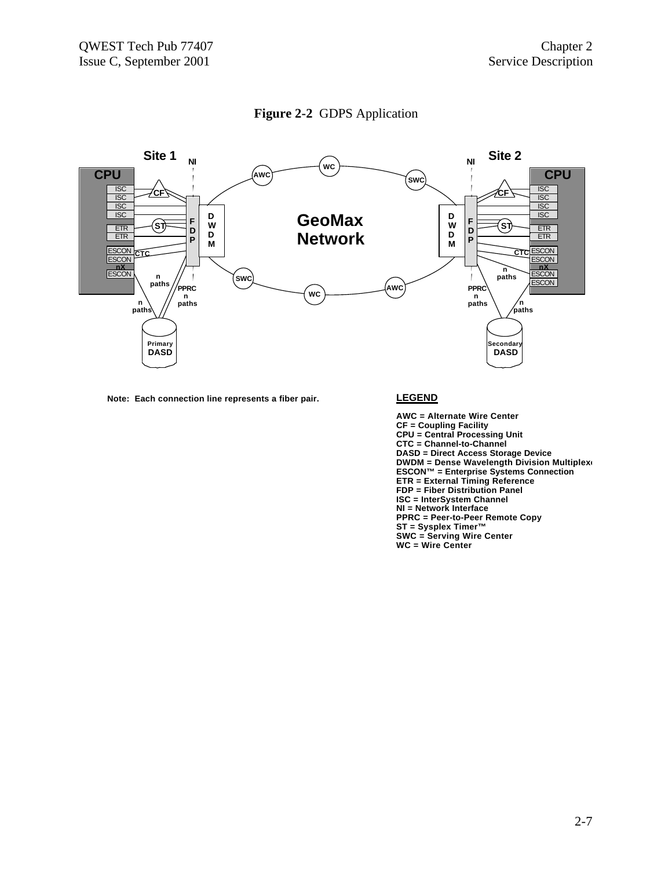



**Note: Each connection line represents a fiber pair. LEGEND**

**AWC = Alternate Wire Center CF = Coupling Facility CPU = Central Processing Unit CTC = Channel-to-Channel DASD = Direct Access Storage Device DWDM = Dense Wavelength Division Multiplex ESCON™ = Enterprise Systems Connection ETR = External Timing Reference FDP = Fiber Distribution Panel ISC = InterSystem Channel NI = Network Interface PPRC = Peer-to-Peer Remote Copy ST = Sysplex Timer™ SWC = Serving Wire Center WC = Wire Center**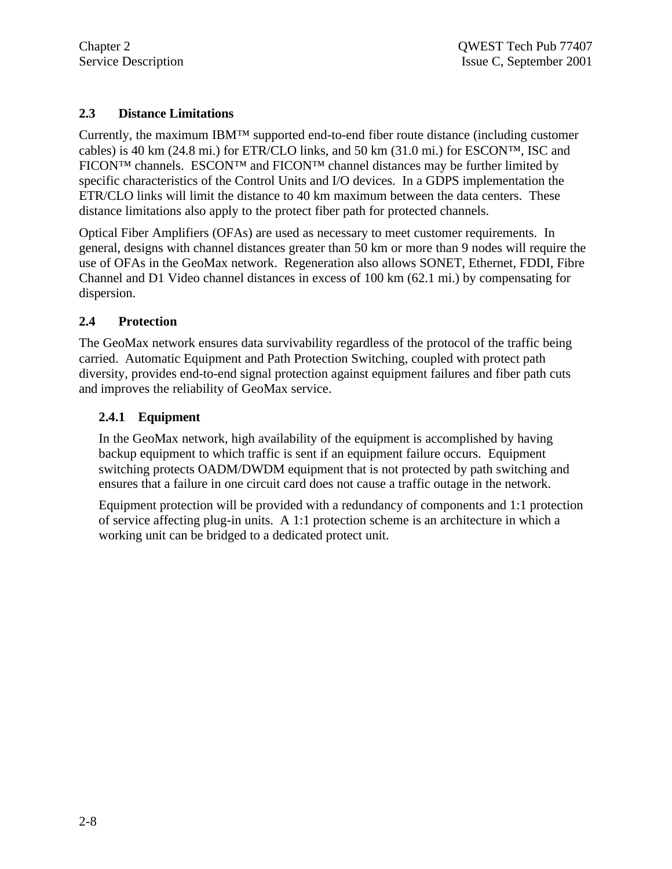# **2.3 Distance Limitations**

Currently, the maximum IBM™ supported end-to-end fiber route distance (including customer cables) is 40 km (24.8 mi.) for ETR/CLO links, and 50 km (31.0 mi.) for ESCON<sup>TM</sup>, ISC and FICON™ channels. ESCON™ and FICON™ channel distances may be further limited by specific characteristics of the Control Units and I/O devices. In a GDPS implementation the ETR/CLO links will limit the distance to 40 km maximum between the data centers. These distance limitations also apply to the protect fiber path for protected channels.

Optical Fiber Amplifiers (OFAs) are used as necessary to meet customer requirements. In general, designs with channel distances greater than 50 km or more than 9 nodes will require the use of OFAs in the GeoMax network. Regeneration also allows SONET, Ethernet, FDDI, Fibre Channel and D1 Video channel distances in excess of 100 km (62.1 mi.) by compensating for dispersion.

# **2.4 Protection**

The GeoMax network ensures data survivability regardless of the protocol of the traffic being carried. Automatic Equipment and Path Protection Switching, coupled with protect path diversity, provides end-to-end signal protection against equipment failures and fiber path cuts and improves the reliability of GeoMax service.

# **2.4.1 Equipment**

In the GeoMax network, high availability of the equipment is accomplished by having backup equipment to which traffic is sent if an equipment failure occurs. Equipment switching protects OADM/DWDM equipment that is not protected by path switching and ensures that a failure in one circuit card does not cause a traffic outage in the network.

Equipment protection will be provided with a redundancy of components and 1:1 protection of service affecting plug-in units. A 1:1 protection scheme is an architecture in which a working unit can be bridged to a dedicated protect unit.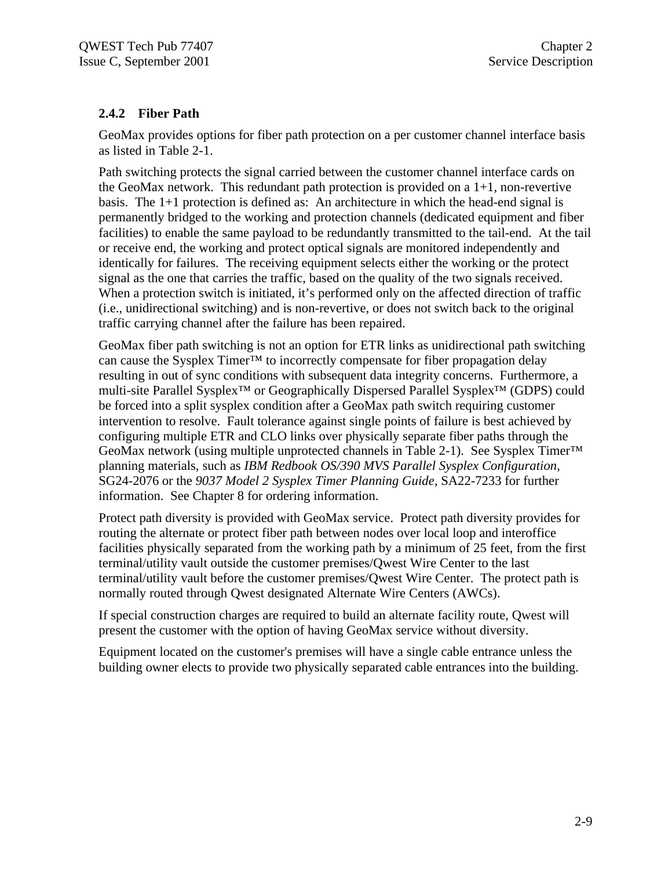# **2.4.2 Fiber Path**

GeoMax provides options for fiber path protection on a per customer channel interface basis as listed in Table 2-1.

Path switching protects the signal carried between the customer channel interface cards on the GeoMax network. This redundant path protection is provided on a 1+1, non-revertive basis. The 1+1 protection is defined as: An architecture in which the head-end signal is permanently bridged to the working and protection channels (dedicated equipment and fiber facilities) to enable the same payload to be redundantly transmitted to the tail-end. At the tail or receive end, the working and protect optical signals are monitored independently and identically for failures. The receiving equipment selects either the working or the protect signal as the one that carries the traffic, based on the quality of the two signals received. When a protection switch is initiated, it's performed only on the affected direction of traffic (i.e., unidirectional switching) and is non-revertive, or does not switch back to the original traffic carrying channel after the failure has been repaired.

GeoMax fiber path switching is not an option for ETR links as unidirectional path switching can cause the Sysplex Timer™ to incorrectly compensate for fiber propagation delay resulting in out of sync conditions with subsequent data integrity concerns. Furthermore, a multi-site Parallel Sysplex™ or Geographically Dispersed Parallel Sysplex™ (GDPS) could be forced into a split sysplex condition after a GeoMax path switch requiring customer intervention to resolve. Fault tolerance against single points of failure is best achieved by configuring multiple ETR and CLO links over physically separate fiber paths through the GeoMax network (using multiple unprotected channels in Table 2-1). See Sysplex Timer<sup>™</sup> planning materials, such as *IBM Redbook OS/390 MVS Parallel Sysplex Configuration*, SG24-2076 or the *9037 Model 2 Sysplex Timer Planning Guide*, SA22-7233 for further information. See Chapter 8 for ordering information.

Protect path diversity is provided with GeoMax service. Protect path diversity provides for routing the alternate or protect fiber path between nodes over local loop and interoffice facilities physically separated from the working path by a minimum of 25 feet, from the first terminal/utility vault outside the customer premises/Qwest Wire Center to the last terminal/utility vault before the customer premises/Qwest Wire Center. The protect path is normally routed through Qwest designated Alternate Wire Centers (AWCs).

If special construction charges are required to build an alternate facility route, Qwest will present the customer with the option of having GeoMax service without diversity.

Equipment located on the customer's premises will have a single cable entrance unless the building owner elects to provide two physically separated cable entrances into the building.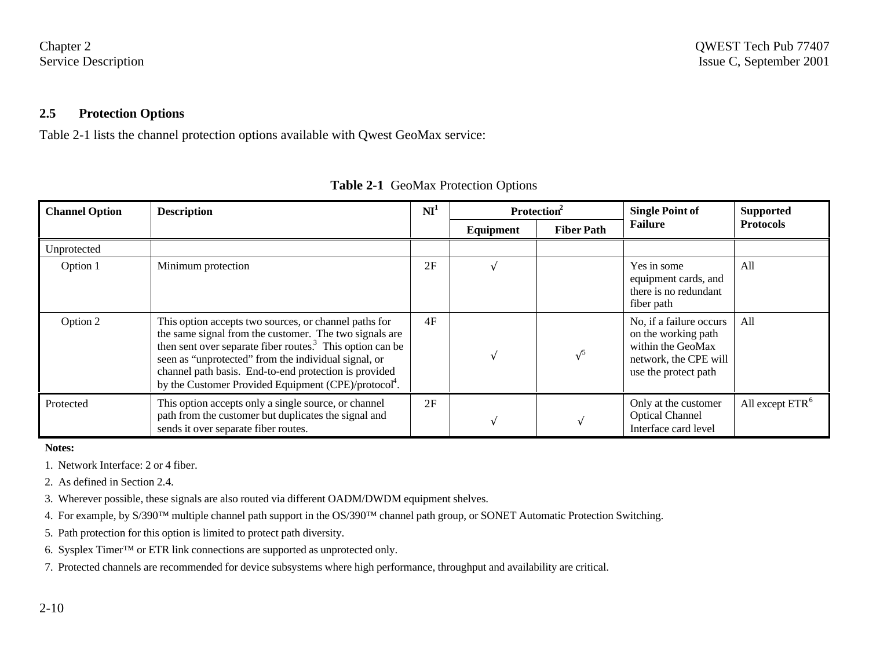#### **2.5 Protection Options**

Table 2-1 lists the channel protection options available with Qwest GeoMax service:

| <b>Channel Option</b> | <b>Description</b>                                                                                                                                                                                                                                                                                                                                                            | $\mathbf{N} \mathbf{I}^1$ | Protection <sup>2</sup> |                   | <b>Single Point of</b>                                                                                               | <b>Supported</b>            |
|-----------------------|-------------------------------------------------------------------------------------------------------------------------------------------------------------------------------------------------------------------------------------------------------------------------------------------------------------------------------------------------------------------------------|---------------------------|-------------------------|-------------------|----------------------------------------------------------------------------------------------------------------------|-----------------------------|
|                       |                                                                                                                                                                                                                                                                                                                                                                               |                           | Equipment               | <b>Fiber Path</b> | <b>Failure</b>                                                                                                       | <b>Protocols</b>            |
| Unprotected           |                                                                                                                                                                                                                                                                                                                                                                               |                           |                         |                   |                                                                                                                      |                             |
| Option 1              | Minimum protection                                                                                                                                                                                                                                                                                                                                                            | 2F                        |                         |                   | Yes in some<br>All<br>equipment cards, and<br>there is no redundant<br>fiber path                                    |                             |
| Option 2              | This option accepts two sources, or channel paths for<br>the same signal from the customer. The two signals are<br>then sent over separate fiber routes. <sup>3</sup> This option can be<br>seen as "unprotected" from the individual signal, or<br>channel path basis. End-to-end protection is provided<br>by the Customer Provided Equipment (CPE)/protocol <sup>4</sup> . | 4F                        |                         | $\sqrt{5}$        | No, if a failure occurs<br>on the working path<br>within the GeoMax<br>network, the CPE will<br>use the protect path | All                         |
| Protected             | This option accepts only a single source, or channel<br>path from the customer but duplicates the signal and<br>sends it over separate fiber routes.                                                                                                                                                                                                                          | 2F                        |                         |                   | Only at the customer<br><b>Optical Channel</b><br>Interface card level                                               | All except ETR <sup>6</sup> |

| <b>Table 2-1 GeoMax Protection Options</b> |  |  |
|--------------------------------------------|--|--|
|                                            |  |  |

**Notes:**

- 1. Network Interface: 2 or 4 fiber.
- 2. As defined in Section 2.4.
- 3. Wherever possible, these signals are also routed via different OADM/DWDM equipment shelves.
- 4. For example, by S/390™ multiple channel path support in the OS/390™ channel path group, or SONET Automatic Protection Switching.
- 5. Path protection for this option is limited to protect path diversity.
- 6. Sysplex Timer™ or ETR link connections are supported as unprotected only.
- 7. Protected channels are recommended for device subsystems where high performance, throughput and availability are critical.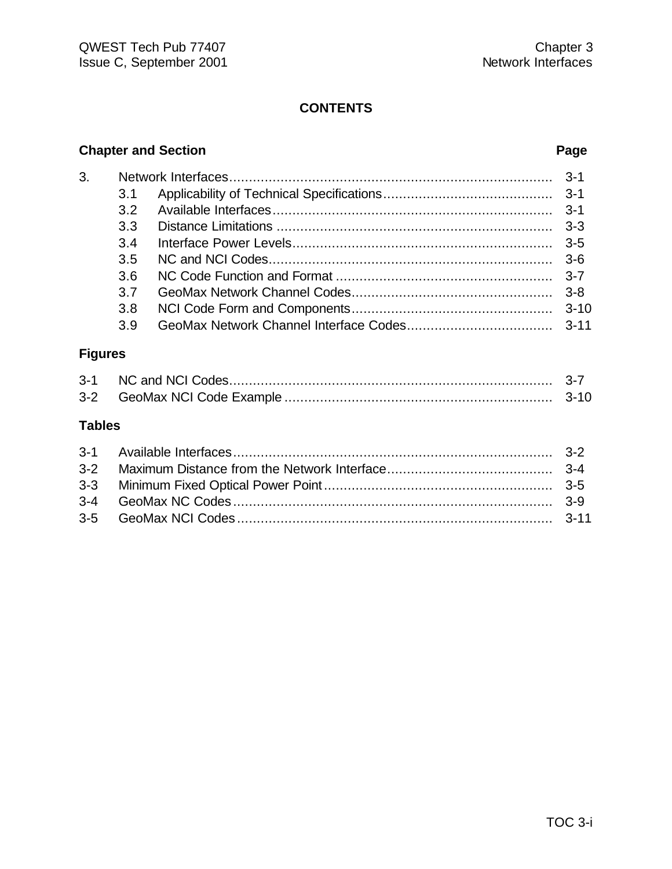# **CONTENTS**

# **Chapter and Section Page**

| 3. |     |  |
|----|-----|--|
|    | 3.1 |  |
|    | 3.2 |  |
|    | 3.3 |  |
|    | 3.4 |  |
|    | 3.5 |  |
|    | 3.6 |  |
|    | 3 7 |  |
|    | 3.8 |  |
|    | 3.9 |  |
|    |     |  |

# **Figures**

| $3 - 1$ |  |
|---------|--|
|         |  |

# **Tables**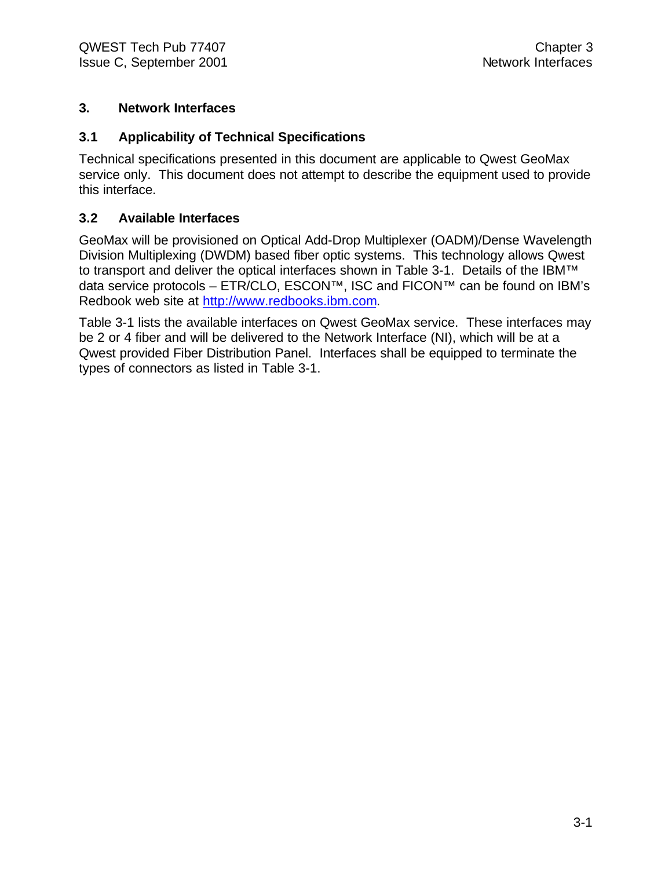# **3. Network Interfaces**

# **3.1 Applicability of Technical Specifications**

Technical specifications presented in this document are applicable to Qwest GeoMax service only. This document does not attempt to describe the equipment used to provide this interface.

# **3.2 Available Interfaces**

GeoMax will be provisioned on Optical Add-Drop Multiplexer (OADM)/Dense Wavelength Division Multiplexing (DWDM) based fiber optic systems. This technology allows Qwest to transport and deliver the optical interfaces shown in Table 3-1. Details of the IBM™ data service protocols – ETR/CLO, ESCON™, ISC and FICON™ can be found on IBM's Redbook web site at http://www.redbooks.ibm.com.

Table 3-1 lists the available interfaces on Qwest GeoMax service. These interfaces may be 2 or 4 fiber and will be delivered to the Network Interface (NI), which will be at a Qwest provided Fiber Distribution Panel. Interfaces shall be equipped to terminate the types of connectors as listed in Table 3-1.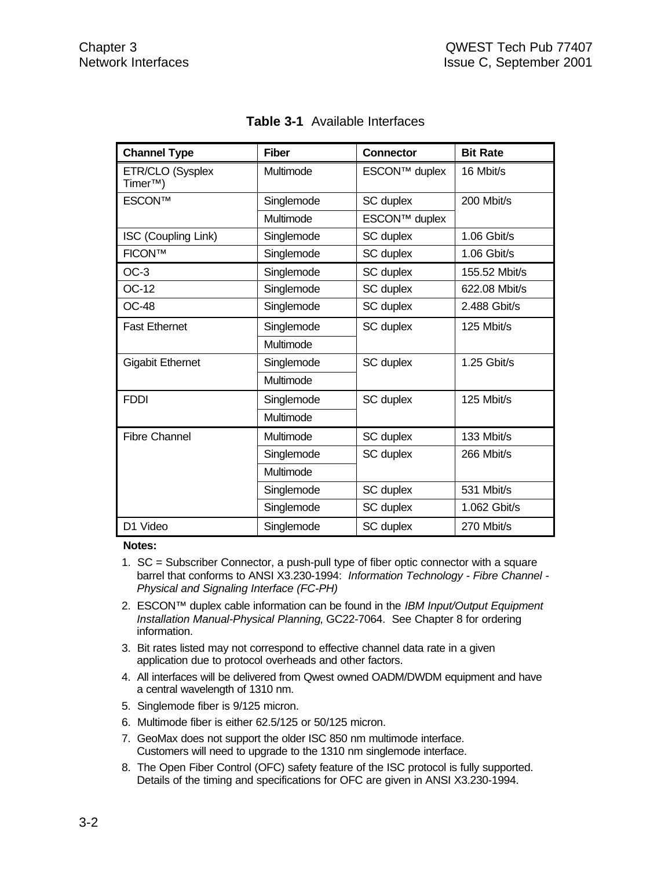| <b>Channel Type</b>                      | <b>Fiber</b> | <b>Connector</b>     | <b>Bit Rate</b> |  |
|------------------------------------------|--------------|----------------------|-----------------|--|
| ETR/CLO (Sysplex<br>Timer <sup>™</sup> ) | Multimode    | <b>ESCON™ duplex</b> | 16 Mbit/s       |  |
| <b>ESCON™</b>                            | Singlemode   | SC duplex            | 200 Mbit/s      |  |
|                                          | Multimode    | <b>ESCON™ duplex</b> |                 |  |
| ISC (Coupling Link)                      | Singlemode   | SC duplex            | 1.06 Gbit/s     |  |
| <b>FICON™</b>                            | Singlemode   | SC duplex            | 1.06 Gbit/s     |  |
| $OC-3$                                   | Singlemode   | SC duplex            | 155.52 Mbit/s   |  |
| OC-12                                    | Singlemode   | SC duplex            | 622.08 Mbit/s   |  |
| <b>OC-48</b>                             | Singlemode   | SC duplex            | 2.488 Gbit/s    |  |
| <b>Fast Ethernet</b>                     | Singlemode   | SC duplex            | 125 Mbit/s      |  |
|                                          | Multimode    |                      |                 |  |
| <b>Gigabit Ethernet</b>                  | Singlemode   | SC duplex            | 1.25 Gbit/s     |  |
|                                          | Multimode    |                      |                 |  |
| <b>FDDI</b>                              | Singlemode   | SC duplex            | 125 Mbit/s      |  |
|                                          | Multimode    |                      |                 |  |
| <b>Fibre Channel</b>                     | Multimode    | SC duplex            | 133 Mbit/s      |  |
|                                          | Singlemode   | SC duplex            | 266 Mbit/s      |  |
|                                          | Multimode    |                      |                 |  |
|                                          | Singlemode   | SC duplex            | 531 Mbit/s      |  |
|                                          | Singlemode   | SC duplex            | 1.062 Gbit/s    |  |
| D1 Video                                 | Singlemode   | SC duplex            | 270 Mbit/s      |  |

# **Table 3-1** Available Interfaces

#### **Notes:**

- 1. SC = Subscriber Connector, a push-pull type of fiber optic connector with a square barrel that conforms to ANSI X3.230-1994: *Information Technology - Fibre Channel - Physical and Signaling Interface (FC-PH)*
- 2. ESCON™ duplex cable information can be found in the *IBM Input/Output Equipment Installation Manual-Physical Planning*, GC22-7064. See Chapter 8 for ordering information.
- 3. Bit rates listed may not correspond to effective channel data rate in a given application due to protocol overheads and other factors.
- 4. All interfaces will be delivered from Qwest owned OADM/DWDM equipment and have a central wavelength of 1310 nm.
- 5. Singlemode fiber is 9/125 micron.
- 6. Multimode fiber is either 62.5/125 or 50/125 micron.
- 7. GeoMax does not support the older ISC 850 nm multimode interface. Customers will need to upgrade to the 1310 nm singlemode interface.
- 8. The Open Fiber Control (OFC) safety feature of the ISC protocol is fully supported. Details of the timing and specifications for OFC are given in ANSI X3.230-1994.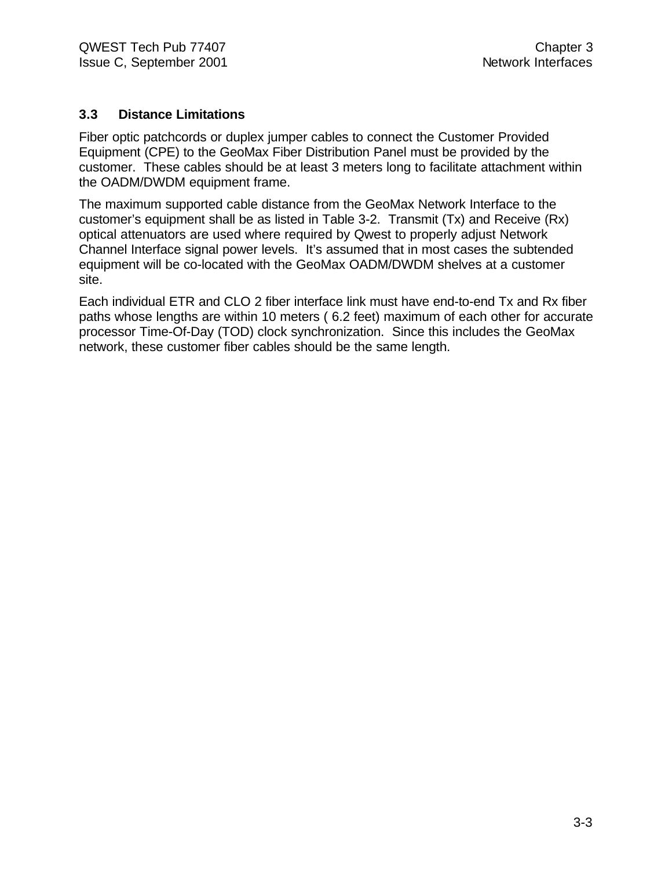# **3.3 Distance Limitations**

Fiber optic patchcords or duplex jumper cables to connect the Customer Provided Equipment (CPE) to the GeoMax Fiber Distribution Panel must be provided by the customer. These cables should be at least 3 meters long to facilitate attachment within the OADM/DWDM equipment frame.

The maximum supported cable distance from the GeoMax Network Interface to the customer's equipment shall be as listed in Table 3-2. Transmit (Tx) and Receive (Rx) optical attenuators are used where required by Qwest to properly adjust Network Channel Interface signal power levels. It's assumed that in most cases the subtended equipment will be co-located with the GeoMax OADM/DWDM shelves at a customer site.

Each individual ETR and CLO 2 fiber interface link must have end-to-end Tx and Rx fiber paths whose lengths are within 10 meters ( 6.2 feet) maximum of each other for accurate processor Time-Of-Day (TOD) clock synchronization. Since this includes the GeoMax network, these customer fiber cables should be the same length.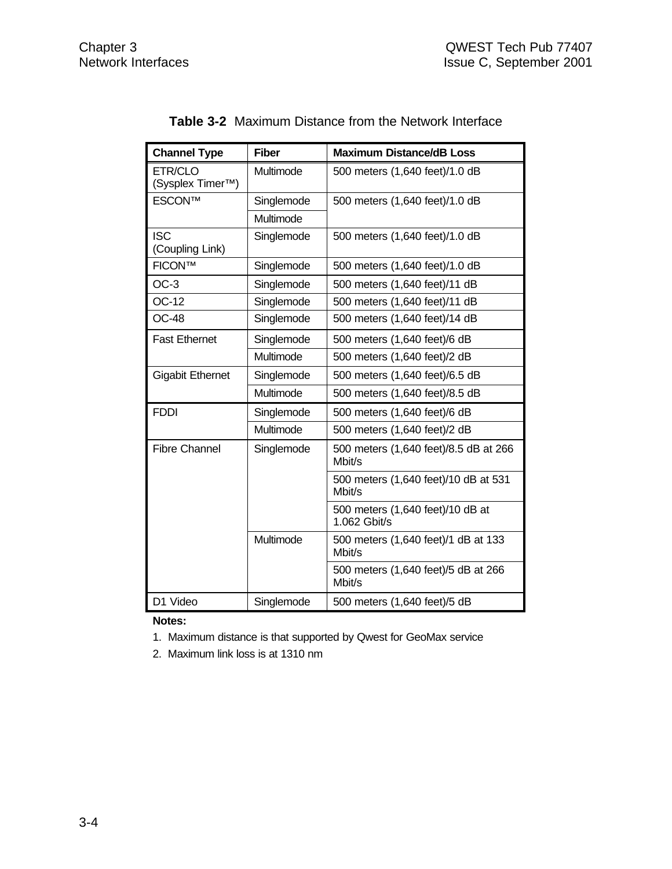| <b>Channel Type</b>                      | <b>Fiber</b> | <b>Maximum Distance/dB Loss</b>                  |
|------------------------------------------|--------------|--------------------------------------------------|
| ETR/CLO<br>(Sysplex Timer <sup>™</sup> ) | Multimode    | 500 meters (1,640 feet)/1.0 dB                   |
| <b>ESCON™</b>                            | Singlemode   | 500 meters (1,640 feet)/1.0 dB                   |
|                                          | Multimode    |                                                  |
| <b>ISC</b><br>(Coupling Link)            | Singlemode   | 500 meters (1,640 feet)/1.0 dB                   |
| <b>FICON™</b>                            | Singlemode   | 500 meters (1,640 feet)/1.0 dB                   |
| $OC-3$                                   | Singlemode   | 500 meters (1,640 feet)/11 dB                    |
| <b>OC-12</b>                             | Singlemode   | 500 meters (1,640 feet)/11 dB                    |
| <b>OC-48</b>                             | Singlemode   | 500 meters (1,640 feet)/14 dB                    |
| <b>Fast Ethernet</b>                     | Singlemode   | 500 meters (1,640 feet)/6 dB                     |
|                                          | Multimode    | 500 meters (1,640 feet)/2 dB                     |
| <b>Gigabit Ethernet</b>                  | Singlemode   | 500 meters (1,640 feet)/6.5 dB                   |
|                                          | Multimode    | 500 meters (1,640 feet)/8.5 dB                   |
| <b>FDDI</b>                              | Singlemode   | 500 meters (1,640 feet)/6 dB                     |
|                                          | Multimode    | 500 meters (1,640 feet)/2 dB                     |
| <b>Fibre Channel</b>                     | Singlemode   | 500 meters (1,640 feet)/8.5 dB at 266<br>Mbit/s  |
|                                          |              | 500 meters (1,640 feet)/10 dB at 531<br>Mbit/s   |
|                                          |              | 500 meters (1,640 feet)/10 dB at<br>1.062 Gbit/s |
|                                          | Multimode    | 500 meters (1,640 feet)/1 dB at 133<br>Mbit/s    |
|                                          |              | 500 meters (1,640 feet)/5 dB at 266<br>Mbit/s    |
| D1 Video                                 | Singlemode   | 500 meters (1,640 feet)/5 dB                     |

**Notes:**

1. Maximum distance is that supported by Qwest for GeoMax service

2. Maximum link loss is at 1310 nm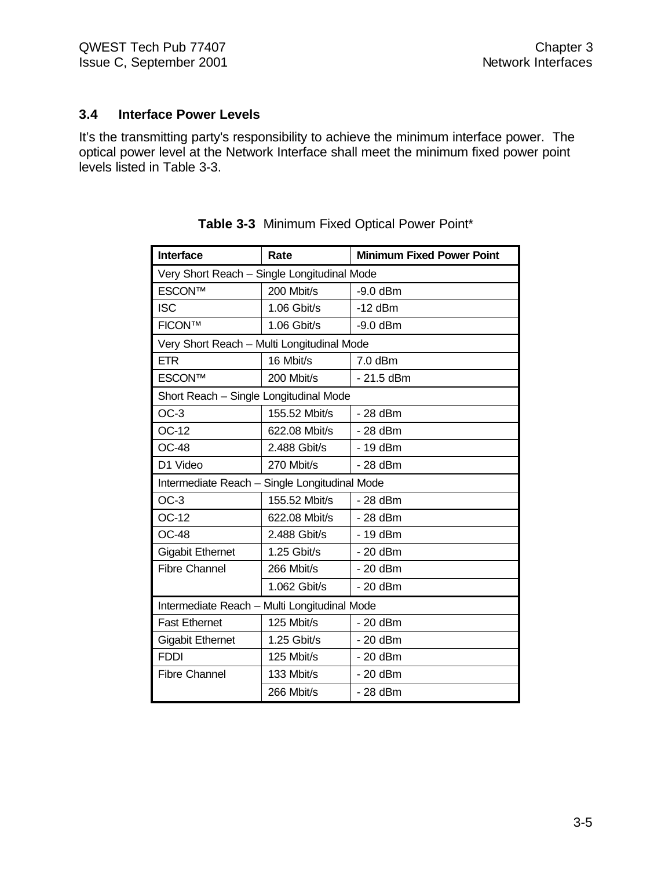# **3.4 Interface Power Levels**

It's the transmitting party's responsibility to achieve the minimum interface power. The optical power level at the Network Interface shall meet the minimum fixed power point levels listed in Table 3-3.

| <b>Interface</b>                              | Rate          | <b>Minimum Fixed Power Point</b> |  |  |  |  |
|-----------------------------------------------|---------------|----------------------------------|--|--|--|--|
| Very Short Reach - Single Longitudinal Mode   |               |                                  |  |  |  |  |
| <b>ESCON™</b>                                 | 200 Mbit/s    | $-9.0$ dBm                       |  |  |  |  |
| <b>ISC</b>                                    | 1.06 Gbit/s   | $-12$ dBm                        |  |  |  |  |
| <b>FICON™</b>                                 | 1.06 Gbit/s   | $-9.0$ dBm                       |  |  |  |  |
| Very Short Reach - Multi Longitudinal Mode    |               |                                  |  |  |  |  |
| <b>ETR</b>                                    | 16 Mbit/s     | 7.0 dBm                          |  |  |  |  |
| <b>ESCONTM</b>                                | 200 Mbit/s    | $-21.5$ dBm                      |  |  |  |  |
| Short Reach - Single Longitudinal Mode        |               |                                  |  |  |  |  |
| $OC-3$                                        | 155.52 Mbit/s | - 28 dBm                         |  |  |  |  |
| OC-12                                         | 622.08 Mbit/s | - 28 dBm                         |  |  |  |  |
| <b>OC-48</b>                                  | 2.488 Gbit/s  | - 19 dBm                         |  |  |  |  |
| D1 Video                                      | 270 Mbit/s    | - 28 dBm                         |  |  |  |  |
| Intermediate Reach - Single Longitudinal Mode |               |                                  |  |  |  |  |
| $OC-3$                                        | 155.52 Mbit/s | $-28$ dBm                        |  |  |  |  |
| OC-12                                         | 622.08 Mbit/s | - 28 dBm                         |  |  |  |  |
| <b>OC-48</b>                                  | 2.488 Gbit/s  | - 19 dBm                         |  |  |  |  |
| <b>Gigabit Ethernet</b>                       | 1.25 Gbit/s   | - 20 dBm                         |  |  |  |  |
| <b>Fibre Channel</b>                          | 266 Mbit/s    | - 20 dBm                         |  |  |  |  |
|                                               | 1.062 Gbit/s  | - 20 dBm                         |  |  |  |  |
| Intermediate Reach - Multi Longitudinal Mode  |               |                                  |  |  |  |  |
| <b>Fast Ethernet</b>                          | 125 Mbit/s    | $-20$ dBm                        |  |  |  |  |
| <b>Gigabit Ethernet</b>                       | 1.25 Gbit/s   | $-20$ dBm                        |  |  |  |  |
| <b>FDDI</b>                                   | 125 Mbit/s    | $-20$ dBm                        |  |  |  |  |
| <b>Fibre Channel</b>                          | 133 Mbit/s    | - 20 dBm                         |  |  |  |  |
|                                               | 266 Mbit/s    | - 28 dBm                         |  |  |  |  |

| <b>Table 3-3</b> Minimum Fixed Optical Power Point* |  |  |  |  |  |  |
|-----------------------------------------------------|--|--|--|--|--|--|
|-----------------------------------------------------|--|--|--|--|--|--|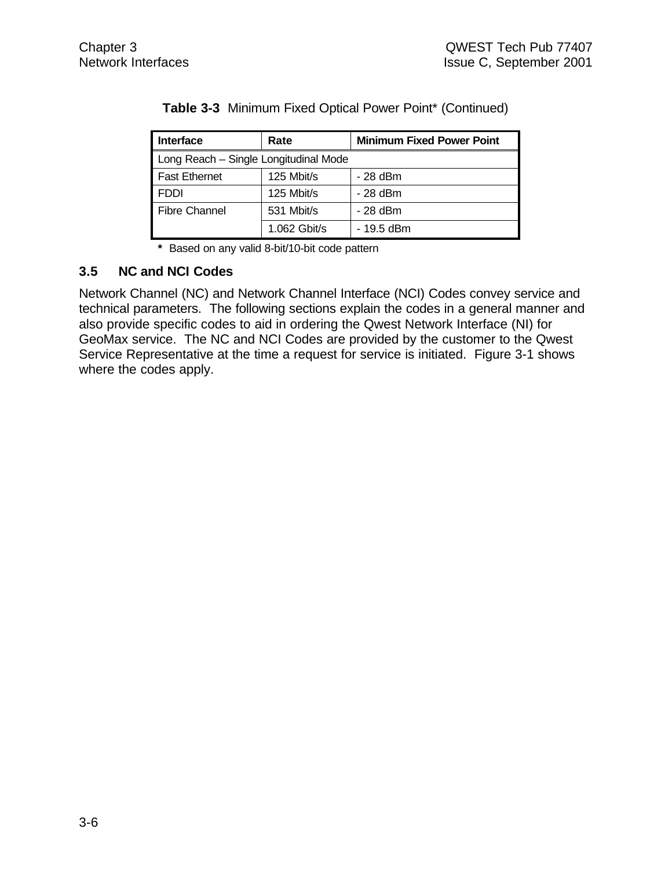| <b>Interface</b>                      | Rate         | <b>Minimum Fixed Power Point</b> |
|---------------------------------------|--------------|----------------------------------|
| Long Reach - Single Longitudinal Mode |              |                                  |
| <b>Fast Ethernet</b>                  | 125 Mbit/s   | $-28$ dBm                        |
| FDDI                                  | 125 Mbit/s   | $-28$ dBm                        |
| <b>Fibre Channel</b>                  | 531 Mbit/s   | $-28$ dBm                        |
|                                       | 1.062 Gbit/s | - 19.5 dBm                       |

**Table 3-3** Minimum Fixed Optical Power Point\* (Continued)

**\*** Based on any valid 8-bit/10-bit code pattern

# **3.5 NC and NCI Codes**

Network Channel (NC) and Network Channel Interface (NCI) Codes convey service and technical parameters. The following sections explain the codes in a general manner and also provide specific codes to aid in ordering the Qwest Network Interface (NI) for GeoMax service. The NC and NCI Codes are provided by the customer to the Qwest Service Representative at the time a request for service is initiated. Figure 3-1 shows where the codes apply.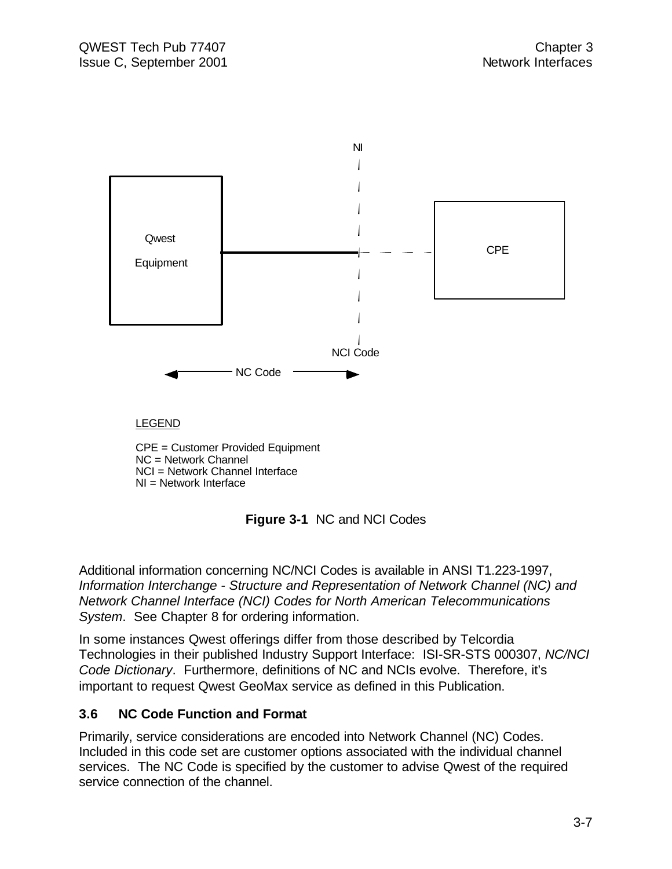

**Figure 3-1** NC and NCI Codes

Additional information concerning NC/NCI Codes is available in ANSI T1.223-1997, *Information Interchange - Structure and Representation of Network Channel (NC) and Network Channel Interface (NCI) Codes for North American Telecommunications System*. See Chapter 8 for ordering information.

In some instances Qwest offerings differ from those described by Telcordia Technologies in their published Industry Support Interface: ISI-SR-STS 000307, *NC/NCI Code Dictionary*. Furthermore, definitions of NC and NCIs evolve. Therefore, it's important to request Qwest GeoMax service as defined in this Publication.

# **3.6 NC Code Function and Format**

Primarily, service considerations are encoded into Network Channel (NC) Codes. Included in this code set are customer options associated with the individual channel services. The NC Code is specified by the customer to advise Qwest of the required service connection of the channel.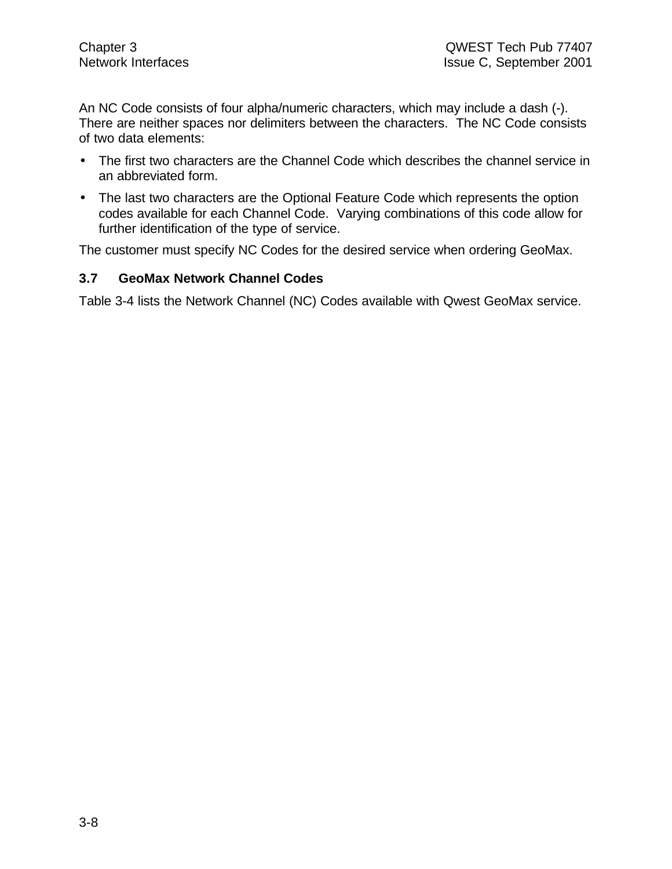An NC Code consists of four alpha/numeric characters, which may include a dash (-). There are neither spaces nor delimiters between the characters. The NC Code consists of two data elements:

- The first two characters are the Channel Code which describes the channel service in an abbreviated form.
- The last two characters are the Optional Feature Code which represents the option codes available for each Channel Code. Varying combinations of this code allow for further identification of the type of service.

The customer must specify NC Codes for the desired service when ordering GeoMax.

# **3.7 GeoMax Network Channel Codes**

Table 3-4 lists the Network Channel (NC) Codes available with Qwest GeoMax service.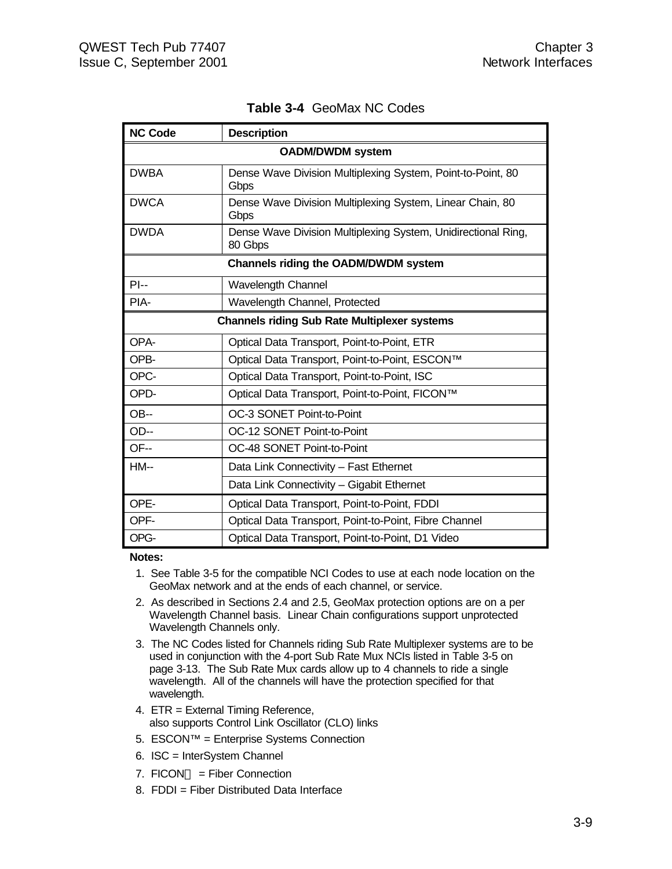| <b>NC Code</b>                                      | <b>Description</b>                                                       |  |  |  |  |
|-----------------------------------------------------|--------------------------------------------------------------------------|--|--|--|--|
| <b>OADM/DWDM system</b>                             |                                                                          |  |  |  |  |
| <b>DWBA</b>                                         | Dense Wave Division Multiplexing System, Point-to-Point, 80<br>Gbps      |  |  |  |  |
| <b>DWCA</b>                                         | Dense Wave Division Multiplexing System, Linear Chain, 80<br>Gbps        |  |  |  |  |
| <b>DWDA</b>                                         | Dense Wave Division Multiplexing System, Unidirectional Ring,<br>80 Gbps |  |  |  |  |
|                                                     | <b>Channels riding the OADM/DWDM system</b>                              |  |  |  |  |
| $PI -$                                              | Wavelength Channel                                                       |  |  |  |  |
| PIA-                                                | Wavelength Channel, Protected                                            |  |  |  |  |
| <b>Channels riding Sub Rate Multiplexer systems</b> |                                                                          |  |  |  |  |
| OPA-                                                | Optical Data Transport, Point-to-Point, ETR                              |  |  |  |  |
| OPB-                                                | Optical Data Transport, Point-to-Point, ESCON™                           |  |  |  |  |
| OPC-                                                | Optical Data Transport, Point-to-Point, ISC                              |  |  |  |  |
| OPD-                                                | Optical Data Transport, Point-to-Point, FICON™                           |  |  |  |  |
| <b>OB--</b>                                         | OC-3 SONET Point-to-Point                                                |  |  |  |  |
| OD--                                                | OC-12 SONET Point-to-Point                                               |  |  |  |  |
| OF--                                                | OC-48 SONET Point-to-Point                                               |  |  |  |  |
| $HM-$                                               | Data Link Connectivity - Fast Ethernet                                   |  |  |  |  |
|                                                     | Data Link Connectivity - Gigabit Ethernet                                |  |  |  |  |
| OPE-                                                | Optical Data Transport, Point-to-Point, FDDI                             |  |  |  |  |
| OPF-                                                | Optical Data Transport, Point-to-Point, Fibre Channel                    |  |  |  |  |
| OPG-                                                | Optical Data Transport, Point-to-Point, D1 Video                         |  |  |  |  |

**Table 3-4** GeoMax NC Codes

#### **Notes:**

- 1. See Table 3-5 for the compatible NCI Codes to use at each node location on the GeoMax network and at the ends of each channel, or service.
- 2. As described in Sections 2.4 and 2.5, GeoMax protection options are on a per Wavelength Channel basis. Linear Chain configurations support unprotected Wavelength Channels only.
- 3. The NC Codes listed for Channels riding Sub Rate Multiplexer systems are to be used in conjunction with the 4-port Sub Rate Mux NCIs listed in Table 3-5 on page 3-13. The Sub Rate Mux cards allow up to 4 channels to ride a single wavelength. All of the channels will have the protection specified for that wavelength.
- 4. ETR = External Timing Reference, also supports Control Link Oscillator (CLO) links
- 5. ESCON™ = Enterprise Systems Connection
- 6. ISC = InterSystem Channel
- 7.  $FICON^{TM} = Fiber$  Connection
- 8. FDDI = Fiber Distributed Data Interface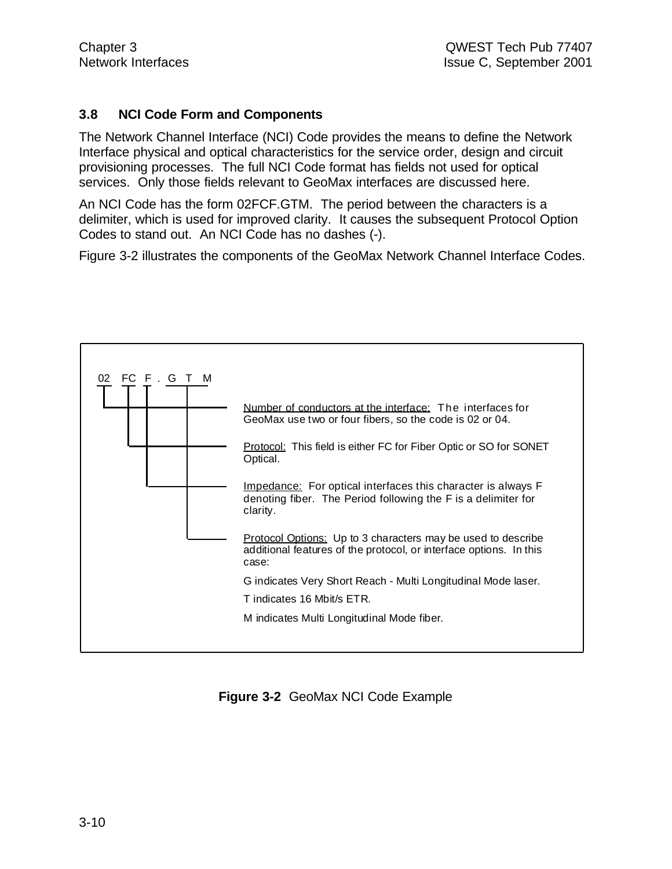#### **3.8 NCI Code Form and Components**

The Network Channel Interface (NCI) Code provides the means to define the Network Interface physical and optical characteristics for the service order, design and circuit provisioning processes. The full NCI Code format has fields not used for optical services. Only those fields relevant to GeoMax interfaces are discussed here.

An NCI Code has the form 02FCF.GTM. The period between the characters is a delimiter, which is used for improved clarity. It causes the subsequent Protocol Option Codes to stand out. An NCI Code has no dashes (-).

Figure 3-2 illustrates the components of the GeoMax Network Channel Interface Codes.



**Figure 3-2** GeoMax NCI Code Example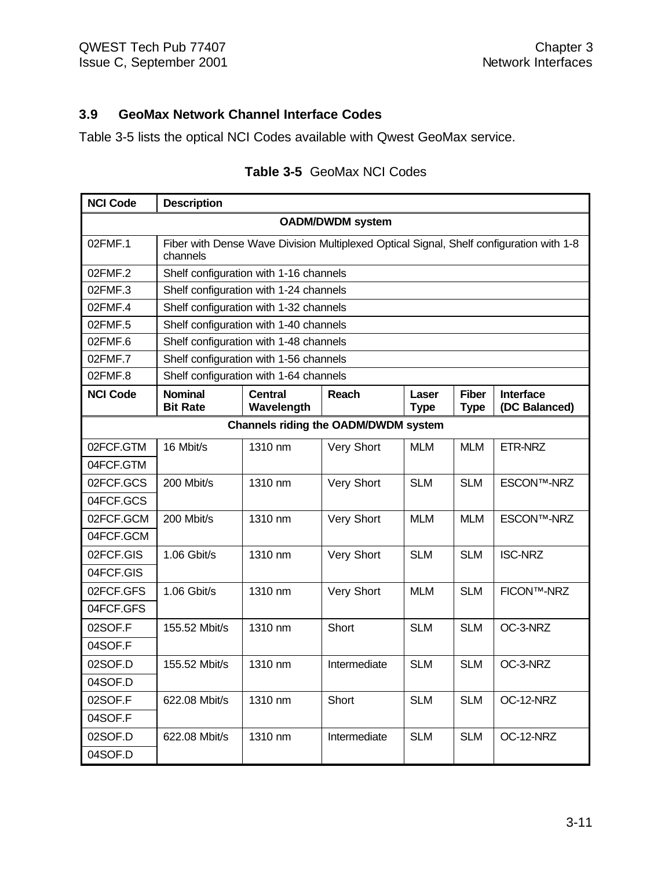04SOF.D

# **3.9 GeoMax Network Channel Interface Codes**

Table 3-5 lists the optical NCI Codes available with Qwest GeoMax service.

| <b>NCI Code</b>                             | <b>Description</b>                     |                                                                                         |                   |                      |                             |                                   |  |  |
|---------------------------------------------|----------------------------------------|-----------------------------------------------------------------------------------------|-------------------|----------------------|-----------------------------|-----------------------------------|--|--|
| <b>OADM/DWDM system</b>                     |                                        |                                                                                         |                   |                      |                             |                                   |  |  |
| 02FMF.1                                     | channels                               | Fiber with Dense Wave Division Multiplexed Optical Signal, Shelf configuration with 1-8 |                   |                      |                             |                                   |  |  |
| 02FMF.2                                     | Shelf configuration with 1-16 channels |                                                                                         |                   |                      |                             |                                   |  |  |
| 02FMF.3                                     |                                        | Shelf configuration with 1-24 channels                                                  |                   |                      |                             |                                   |  |  |
| 02FMF.4                                     | Shelf configuration with 1-32 channels |                                                                                         |                   |                      |                             |                                   |  |  |
| 02FMF.5                                     | Shelf configuration with 1-40 channels |                                                                                         |                   |                      |                             |                                   |  |  |
| 02FMF.6                                     | Shelf configuration with 1-48 channels |                                                                                         |                   |                      |                             |                                   |  |  |
| 02FMF.7                                     | Shelf configuration with 1-56 channels |                                                                                         |                   |                      |                             |                                   |  |  |
| 02FMF.8                                     | Shelf configuration with 1-64 channels |                                                                                         |                   |                      |                             |                                   |  |  |
| <b>NCI Code</b>                             | <b>Nominal</b><br><b>Bit Rate</b>      | <b>Central</b><br>Wavelength                                                            | <b>Reach</b>      | Laser<br><b>Type</b> | <b>Fiber</b><br><b>Type</b> | <b>Interface</b><br>(DC Balanced) |  |  |
| <b>Channels riding the OADM/DWDM system</b> |                                        |                                                                                         |                   |                      |                             |                                   |  |  |
| 02FCF.GTM                                   | 16 Mbit/s                              | 1310 nm                                                                                 | <b>Very Short</b> | <b>MLM</b>           | <b>MLM</b>                  | ETR-NRZ                           |  |  |
| 04FCF.GTM                                   |                                        |                                                                                         |                   |                      |                             |                                   |  |  |
| 02FCF.GCS                                   | 200 Mbit/s                             | 1310 nm                                                                                 | Very Short        | <b>SLM</b>           | <b>SLM</b>                  | <b>ESCON™-NRZ</b>                 |  |  |
| 04FCF.GCS                                   |                                        |                                                                                         |                   |                      |                             |                                   |  |  |
| 02FCF.GCM                                   | 200 Mbit/s                             | 1310 nm                                                                                 | Very Short        | <b>MLM</b>           | <b>MLM</b>                  | <b>ESCON™-NRZ</b>                 |  |  |
| 04FCF.GCM                                   |                                        |                                                                                         |                   |                      |                             |                                   |  |  |
| 02FCF.GIS                                   | $1.06$ Gbit/s                          | 1310 nm                                                                                 | Very Short        | <b>SLM</b>           | <b>SLM</b>                  | <b>ISC-NRZ</b>                    |  |  |
| 04FCF.GIS                                   |                                        |                                                                                         |                   |                      |                             |                                   |  |  |
| 02FCF.GFS                                   | $1.06$ Gbit/s                          | 1310 nm                                                                                 | <b>Very Short</b> | <b>MLM</b>           | <b>SLM</b>                  | <b>FICON™-NRZ</b>                 |  |  |
| 04FCF.GFS                                   |                                        |                                                                                         |                   |                      |                             |                                   |  |  |
| 02SOF.F                                     | 155.52 Mbit/s                          | 1310 nm                                                                                 | Short             | <b>SLM</b>           | <b>SLM</b>                  | OC-3-NRZ                          |  |  |
| 04SOF.F                                     |                                        |                                                                                         |                   |                      |                             |                                   |  |  |
| 02SOF.D                                     | 155.52 Mbit/s                          | 1310 nm                                                                                 | Intermediate      | <b>SLM</b>           | <b>SLM</b>                  | OC-3-NRZ                          |  |  |
| 04SOF.D                                     |                                        |                                                                                         |                   |                      |                             |                                   |  |  |
| 02SOF.F                                     | 622.08 Mbit/s                          | 1310 nm                                                                                 | Short             | <b>SLM</b>           | <b>SLM</b>                  | OC-12-NRZ                         |  |  |
| 04SOF.F                                     |                                        |                                                                                         |                   |                      |                             |                                   |  |  |
| 02SOF.D                                     | 622.08 Mbit/s                          | 1310 nm                                                                                 | Intermediate      | <b>SLM</b>           | <b>SLM</b>                  | OC-12-NRZ                         |  |  |

# **Table 3-5** GeoMax NCI Codes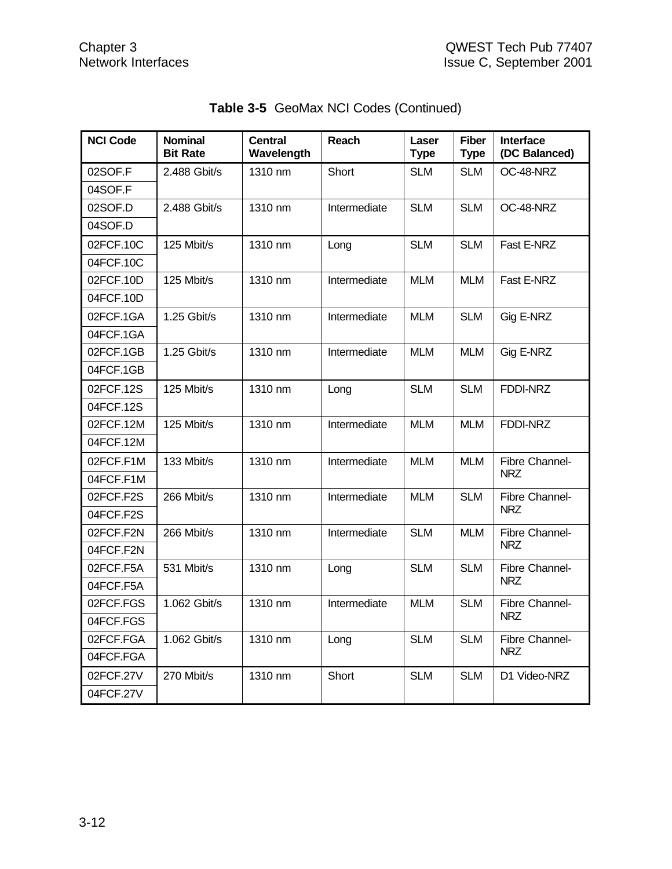| <b>NCI Code</b> | <b>Nominal</b><br><b>Bit Rate</b> | <b>Central</b><br>Wavelength | <b>Reach</b> | Laser<br><b>Type</b> | <b>Fiber</b><br><b>Type</b> | <b>Interface</b><br>(DC Balanced) |
|-----------------|-----------------------------------|------------------------------|--------------|----------------------|-----------------------------|-----------------------------------|
| 02SOF.F         | 2.488 Gbit/s                      | 1310 nm                      | Short        | <b>SLM</b>           | <b>SLM</b>                  | OC-48-NRZ                         |
| 04SOF.F         |                                   |                              |              |                      |                             |                                   |
| 02SOF.D         | 2.488 Gbit/s                      | 1310 nm                      | Intermediate | <b>SLM</b>           | <b>SLM</b>                  | OC-48-NRZ                         |
| 04SOF.D         |                                   |                              |              |                      |                             |                                   |
| 02FCF.10C       | 125 Mbit/s                        | 1310 nm                      | Long         | <b>SLM</b>           | <b>SLM</b>                  | Fast E-NRZ                        |
| 04FCF.10C       |                                   |                              |              |                      |                             |                                   |
| 02FCF.10D       | 125 Mbit/s                        | 1310 nm                      | Intermediate | <b>MLM</b>           | <b>MLM</b>                  | Fast E-NRZ                        |
| 04FCF.10D       |                                   |                              |              |                      |                             |                                   |
| 02FCF.1GA       | $1.25$ Gbit/s                     | 1310 nm                      | Intermediate | <b>MLM</b>           | <b>SLM</b>                  | Gig E-NRZ                         |
| 04FCF.1GA       |                                   |                              |              |                      |                             |                                   |
| 02FCF.1GB       | 1.25 Gbit/s                       | 1310 nm                      | Intermediate | <b>MLM</b>           | <b>MLM</b>                  | Gig E-NRZ                         |
| 04FCF.1GB       |                                   |                              |              |                      |                             |                                   |
| 02FCF.12S       | 125 Mbit/s                        | 1310 nm                      | Long         | <b>SLM</b>           | <b>SLM</b>                  | FDDI-NRZ                          |
| 04FCF.12S       |                                   |                              |              |                      |                             |                                   |
| 02FCF.12M       | 125 Mbit/s                        | 1310 nm                      | Intermediate | <b>MLM</b>           | <b>MLM</b>                  | FDDI-NRZ                          |
| 04FCF.12M       |                                   |                              |              |                      |                             |                                   |
| 02FCF.F1M       | 133 Mbit/s                        | 1310 nm                      | Intermediate | <b>MLM</b>           | <b>MLM</b>                  | Fibre Channel-                    |
| 04FCF.F1M       |                                   |                              |              |                      |                             | <b>NRZ</b>                        |
| 02FCF.F2S       | 266 Mbit/s                        | 1310 nm                      | Intermediate | <b>MLM</b>           | <b>SLM</b>                  | Fibre Channel-                    |
| 04FCF.F2S       |                                   |                              |              |                      |                             | <b>NRZ</b>                        |
| 02FCF.F2N       | 266 Mbit/s                        | 1310 nm                      | Intermediate | <b>SLM</b>           | <b>MLM</b>                  | Fibre Channel-                    |
| 04FCF.F2N       |                                   |                              |              |                      |                             | <b>NRZ</b>                        |
| 02FCF.F5A       | 531 Mbit/s                        | 1310 nm                      | Long         | <b>SLM</b>           | <b>SLM</b>                  | Fibre Channel-                    |
| 04FCF.F5A       |                                   |                              |              |                      |                             | <b>NRZ</b>                        |
| 02FCF.FGS       | 1.062 Gbit/s                      | 1310 nm                      | Intermediate | <b>MLM</b>           | <b>SLM</b>                  | Fibre Channel-                    |
| 04FCF.FGS       |                                   |                              |              |                      |                             | <b>NRZ</b>                        |
| 02FCF.FGA       | 1.062 Gbit/s                      | 1310 nm                      | Long         | <b>SLM</b>           | <b>SLM</b>                  | Fibre Channel-                    |
| 04FCF.FGA       |                                   |                              |              |                      |                             | <b>NRZ</b>                        |
| 02FCF.27V       | 270 Mbit/s                        | 1310 nm                      | Short        | <b>SLM</b>           | <b>SLM</b>                  | D1 Video-NRZ                      |
| 04FCF.27V       |                                   |                              |              |                      |                             |                                   |

|  | Table 3-5 GeoMax NCI Codes (Continued) |  |  |
|--|----------------------------------------|--|--|
|--|----------------------------------------|--|--|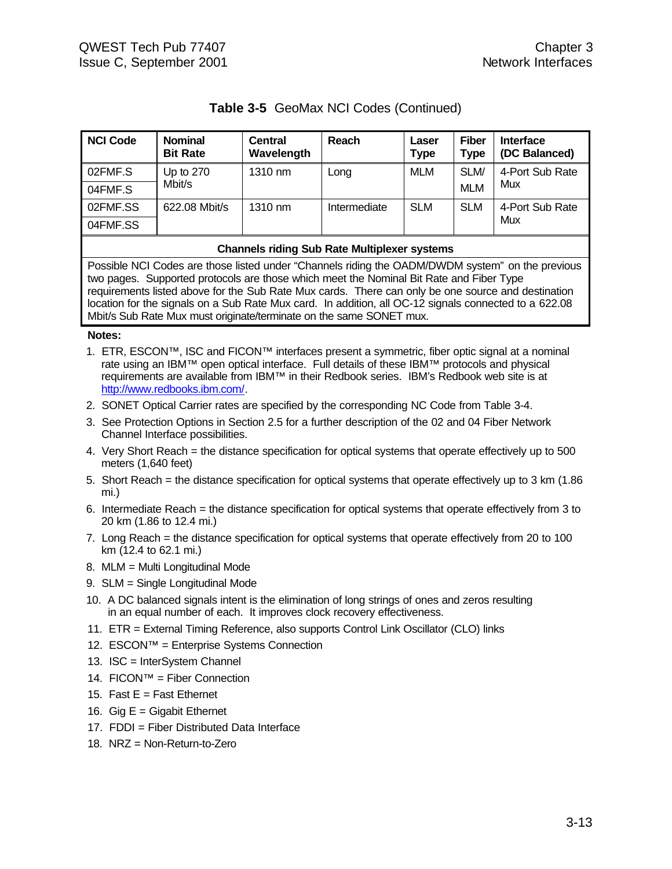# **Table 3-5** GeoMax NCI Codes (Continued)

| <b>NCI Code</b> | <b>Nominal</b><br><b>Bit Rate</b> | <b>Central</b><br>Wavelength | Reach        | Laser<br><b>Type</b> | <b>Fiber</b><br><b>Type</b> | <b>Interface</b><br>(DC Balanced) |
|-----------------|-----------------------------------|------------------------------|--------------|----------------------|-----------------------------|-----------------------------------|
| 02FMF.S         | Up to $270$                       | 1310 nm                      | Long         | <b>MLM</b>           | SLM/                        | 4-Port Sub Rate                   |
| 04FMF.S         | Mbit/s                            |                              |              |                      | <b>MLM</b>                  | Mux                               |
| 02FMF.SS        | 622.08 Mbit/s                     | 1310 nm                      | Intermediate | <b>SLM</b>           | <b>SLM</b>                  | 4-Port Sub Rate                   |
| 04FMF.SS        |                                   |                              |              |                      |                             | Mux                               |

#### **Channels riding Sub Rate Multiplexer systems**

Possible NCI Codes are those listed under "Channels riding the OADM/DWDM system" on the previous two pages. Supported protocols are those which meet the Nominal Bit Rate and Fiber Type requirements listed above for the Sub Rate Mux cards. There can only be one source and destination location for the signals on a Sub Rate Mux card. In addition, all OC-12 signals connected to a 622.08 Mbit/s Sub Rate Mux must originate/terminate on the same SONET mux.

#### **Notes:**

- 1. ETR, ESCON™, ISC and FICON™ interfaces present a symmetric, fiber optic signal at a nominal rate using an IBM™ open optical interface. Full details of these IBM™ protocols and physical requirements are available from IBM™ in their Redbook series. IBM's Redbook web site is at http://www.redbooks.ibm.com/.
- 2. SONET Optical Carrier rates are specified by the corresponding NC Code from Table 3-4.
- 3. See Protection Options in Section 2.5 for a further description of the 02 and 04 Fiber Network Channel Interface possibilities.
- 4. Very Short Reach = the distance specification for optical systems that operate effectively up to 500 meters (1,640 feet)
- 5. Short Reach = the distance specification for optical systems that operate effectively up to 3 km (1.86 mi.)
- 6. Intermediate Reach = the distance specification for optical systems that operate effectively from 3 to 20 km (1.86 to 12.4 mi.)
- 7. Long Reach = the distance specification for optical systems that operate effectively from 20 to 100 km (12.4 to 62.1 mi.)
- 8. MLM = Multi Longitudinal Mode
- 9. SLM = Single Longitudinal Mode
- 10. A DC balanced signals intent is the elimination of long strings of ones and zeros resulting in an equal number of each. It improves clock recovery effectiveness.
- 11. ETR = External Timing Reference, also supports Control Link Oscillator (CLO) links
- 12. ESCON™ = Enterprise Systems Connection
- 13. ISC = InterSystem Channel
- 14. FICON™ = Fiber Connection
- 15. Fast  $E =$  Fast Ethernet
- 16. Gig  $E =$  Gigabit Ethernet
- 17. FDDI = Fiber Distributed Data Interface
- 18. NRZ = Non-Return-to-Zero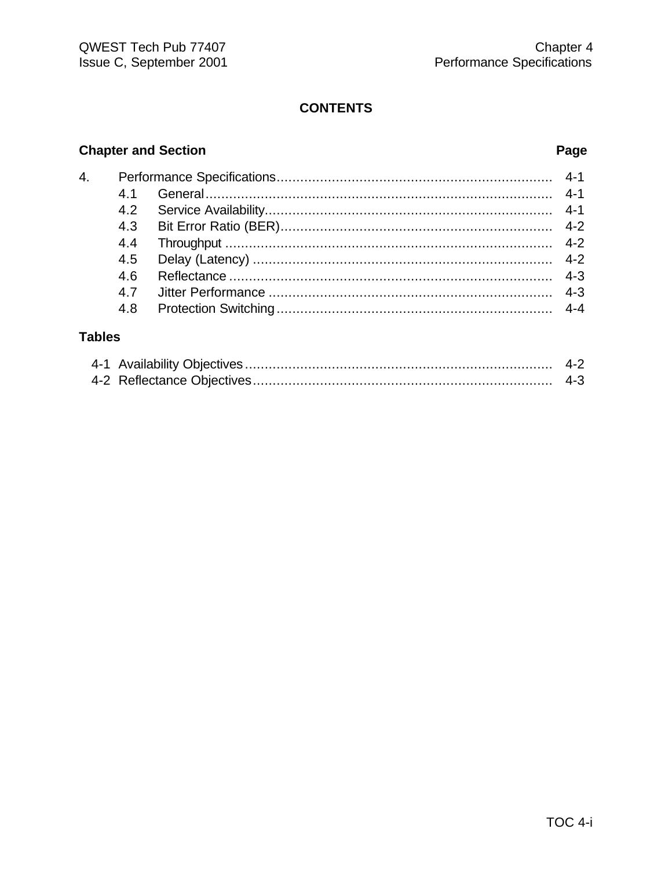# **CONTENTS**

# **Chapter and Section**

# Page

| 4. |     |  |
|----|-----|--|
|    | 41  |  |
|    | 4.2 |  |
|    | 4.3 |  |
|    | 4.4 |  |
|    | 4.5 |  |
|    | 4.6 |  |
|    | 47  |  |
|    | 4.8 |  |
|    |     |  |

# **Tables**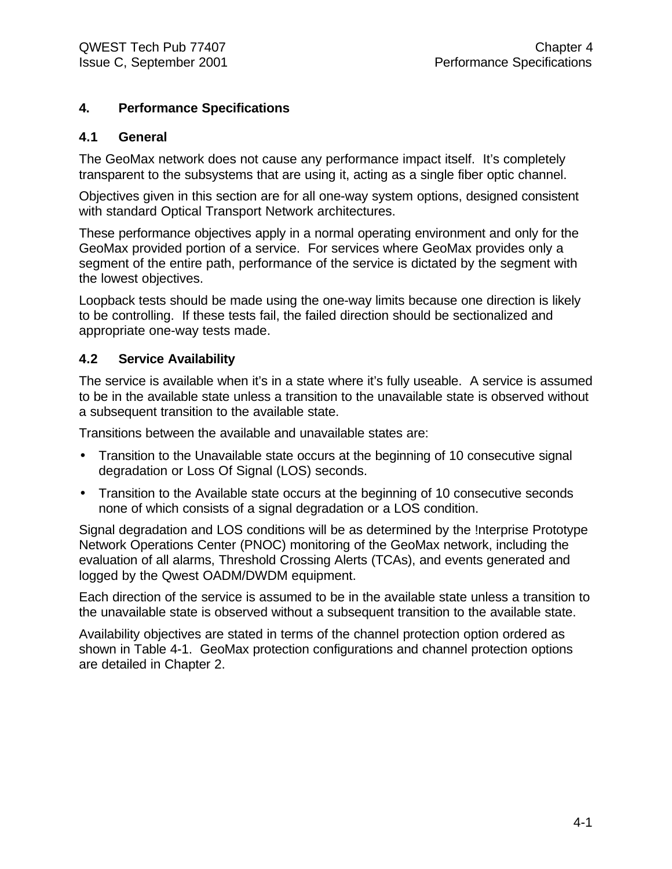# **4. Performance Specifications**

# **4.1 General**

The GeoMax network does not cause any performance impact itself. It's completely transparent to the subsystems that are using it, acting as a single fiber optic channel.

Objectives given in this section are for all one-way system options, designed consistent with standard Optical Transport Network architectures.

These performance objectives apply in a normal operating environment and only for the GeoMax provided portion of a service. For services where GeoMax provides only a segment of the entire path, performance of the service is dictated by the segment with the lowest objectives.

Loopback tests should be made using the one-way limits because one direction is likely to be controlling. If these tests fail, the failed direction should be sectionalized and appropriate one-way tests made.

# **4.2 Service Availability**

The service is available when it's in a state where it's fully useable. A service is assumed to be in the available state unless a transition to the unavailable state is observed without a subsequent transition to the available state.

Transitions between the available and unavailable states are:

- Transition to the Unavailable state occurs at the beginning of 10 consecutive signal degradation or Loss Of Signal (LOS) seconds.
- Transition to the Available state occurs at the beginning of 10 consecutive seconds none of which consists of a signal degradation or a LOS condition.

Signal degradation and LOS conditions will be as determined by the !nterprise Prototype Network Operations Center (PNOC) monitoring of the GeoMax network, including the evaluation of all alarms, Threshold Crossing Alerts (TCAs), and events generated and logged by the Qwest OADM/DWDM equipment.

Each direction of the service is assumed to be in the available state unless a transition to the unavailable state is observed without a subsequent transition to the available state.

Availability objectives are stated in terms of the channel protection option ordered as shown in Table 4-1. GeoMax protection configurations and channel protection options are detailed in Chapter 2.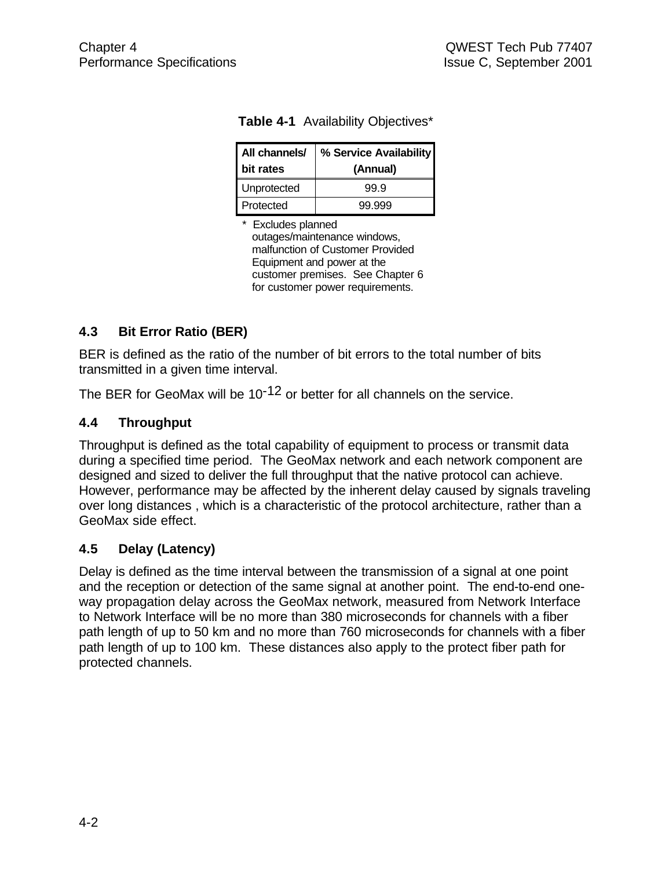| All channels/<br>I bit rates | % Service Availability<br>(Annual) |
|------------------------------|------------------------------------|
| Unprotected                  | 99.9                               |
| <b>Protected</b>             | 99.999                             |

|  | <b>Table 4-1</b> Availability Objectives* |  |  |
|--|-------------------------------------------|--|--|
|--|-------------------------------------------|--|--|

\* Excludes planned outages/maintenance windows, malfunction of Customer Provided Equipment and power at the customer premises. See Chapter 6 for customer power requirements.

# **4.3 Bit Error Ratio (BER)**

BER is defined as the ratio of the number of bit errors to the total number of bits transmitted in a given time interval.

The BER for GeoMax will be  $10^{-12}$  or better for all channels on the service.

# **4.4 Throughput**

Throughput is defined as the total capability of equipment to process or transmit data during a specified time period. The GeoMax network and each network component are designed and sized to deliver the full throughput that the native protocol can achieve. However, performance may be affected by the inherent delay caused by signals traveling over long distances , which is a characteristic of the protocol architecture, rather than a GeoMax side effect.

# **4.5 Delay (Latency)**

Delay is defined as the time interval between the transmission of a signal at one point and the reception or detection of the same signal at another point. The end-to-end oneway propagation delay across the GeoMax network, measured from Network Interface to Network Interface will be no more than 380 microseconds for channels with a fiber path length of up to 50 km and no more than 760 microseconds for channels with a fiber path length of up to 100 km. These distances also apply to the protect fiber path for protected channels.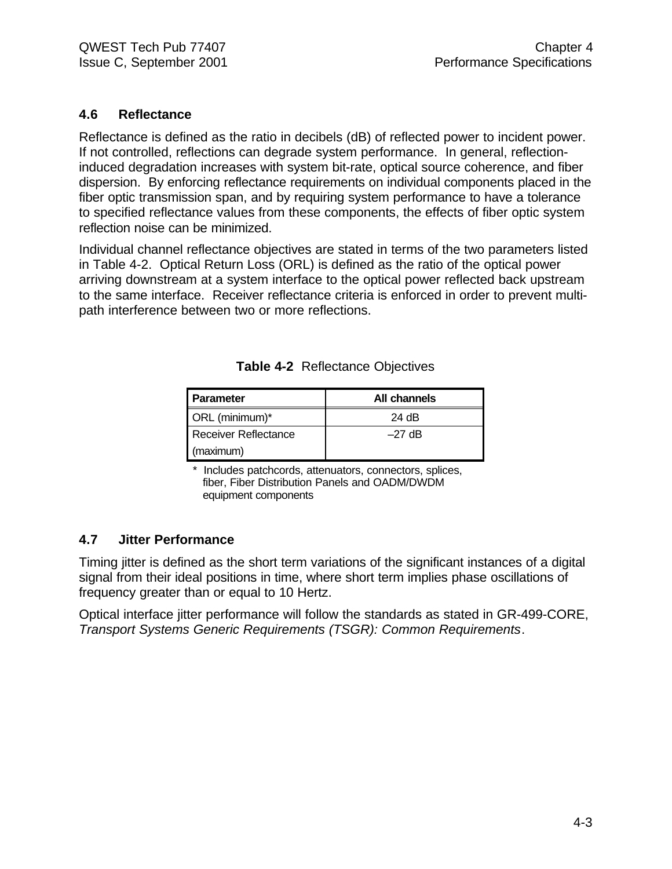# **4.6 Reflectance**

Reflectance is defined as the ratio in decibels (dB) of reflected power to incident power. If not controlled, reflections can degrade system performance. In general, reflectioninduced degradation increases with system bit-rate, optical source coherence, and fiber dispersion. By enforcing reflectance requirements on individual components placed in the fiber optic transmission span, and by requiring system performance to have a tolerance to specified reflectance values from these components, the effects of fiber optic system reflection noise can be minimized.

Individual channel reflectance objectives are stated in terms of the two parameters listed in Table 4-2. Optical Return Loss (ORL) is defined as the ratio of the optical power arriving downstream at a system interface to the optical power reflected back upstream to the same interface. Receiver reflectance criteria is enforced in order to prevent multipath interference between two or more reflections.

| I Parameter          | All channels |
|----------------------|--------------|
| ORL (minimum)*       | 24 dB        |
| Receiver Reflectance | $-27$ dB     |
| (maximum)            |              |

**Table 4-2** Reflectance Objectives

Includes patchcords, attenuators, connectors, splices, fiber, Fiber Distribution Panels and OADM/DWDM equipment components

# **4.7 Jitter Performance**

Timing jitter is defined as the short term variations of the significant instances of a digital signal from their ideal positions in time, where short term implies phase oscillations of frequency greater than or equal to 10 Hertz.

Optical interface jitter performance will follow the standards as stated in GR-499-CORE, *Transport Systems Generic Requirements (TSGR): Common Requirements*.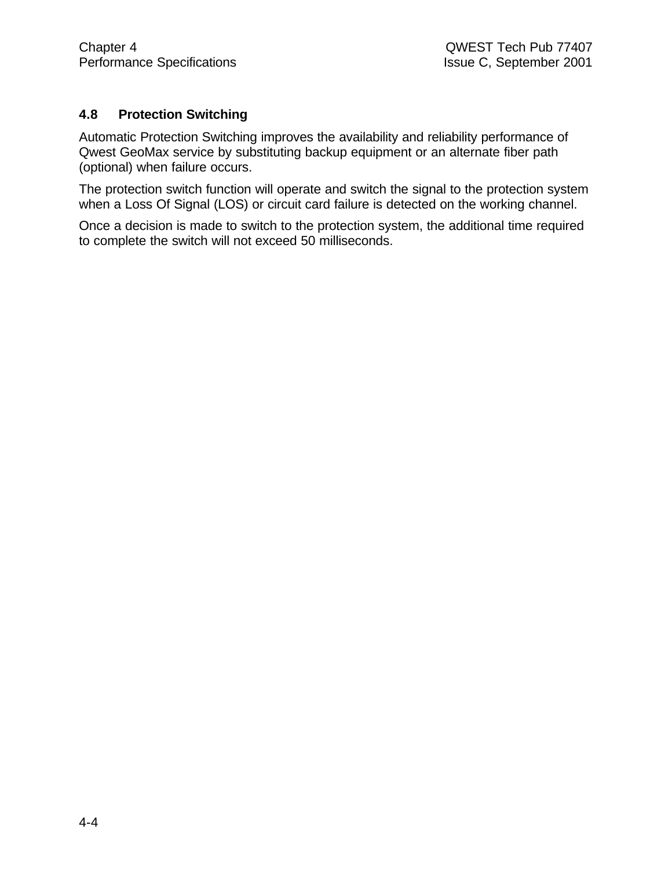# **4.8 Protection Switching**

Automatic Protection Switching improves the availability and reliability performance of Qwest GeoMax service by substituting backup equipment or an alternate fiber path (optional) when failure occurs.

The protection switch function will operate and switch the signal to the protection system when a Loss Of Signal (LOS) or circuit card failure is detected on the working channel.

Once a decision is made to switch to the protection system, the additional time required to complete the switch will not exceed 50 milliseconds.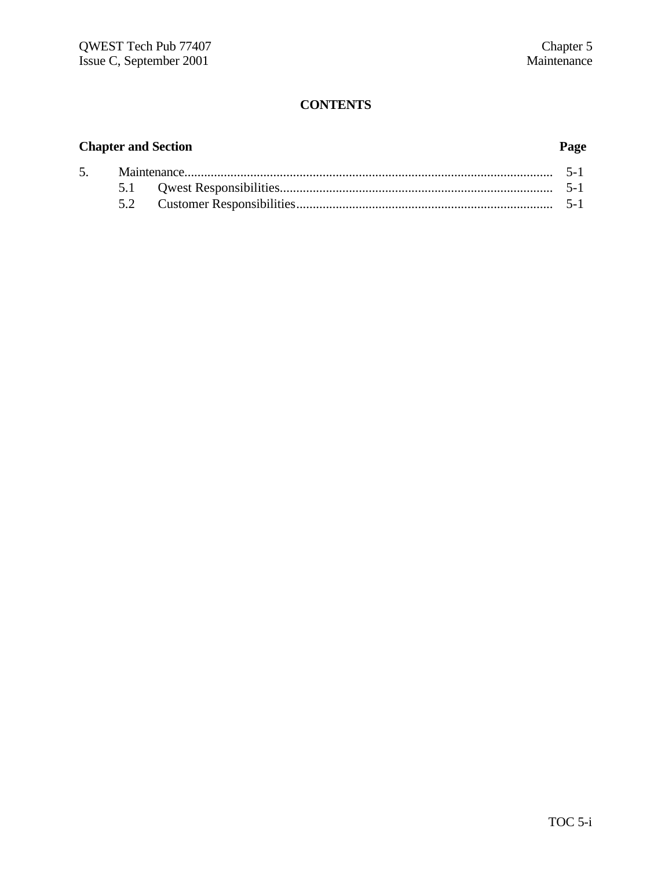# **CONTENTS**

# **Chapter and Section Page**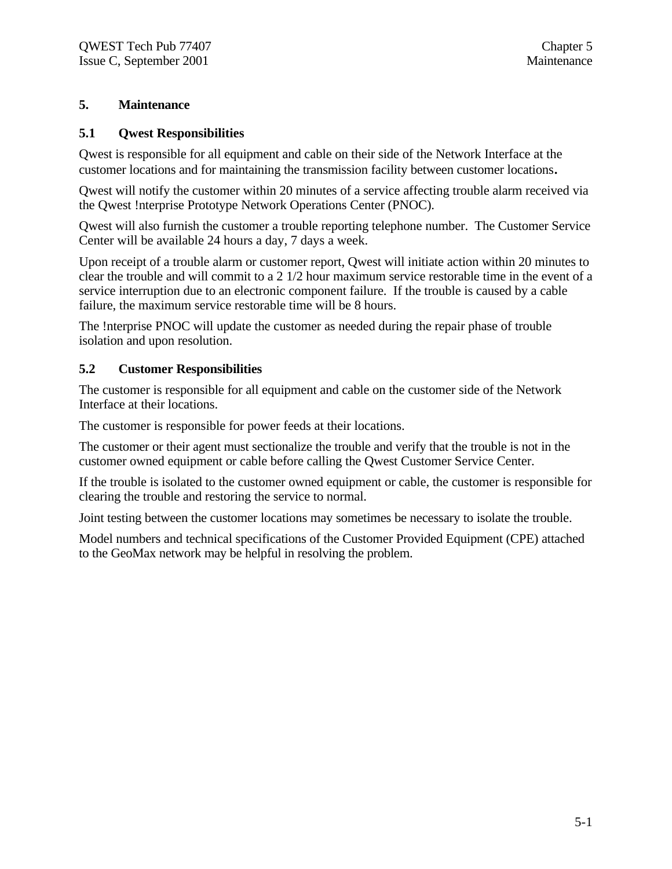#### **5. Maintenance**

#### **5.1 Qwest Responsibilities**

Qwest is responsible for all equipment and cable on their side of the Network Interface at the customer locations and for maintaining the transmission facility between customer locations**.**

Qwest will notify the customer within 20 minutes of a service affecting trouble alarm received via the Qwest !nterprise Prototype Network Operations Center (PNOC).

Qwest will also furnish the customer a trouble reporting telephone number. The Customer Service Center will be available 24 hours a day, 7 days a week.

Upon receipt of a trouble alarm or customer report, Qwest will initiate action within 20 minutes to clear the trouble and will commit to a 2 1/2 hour maximum service restorable time in the event of a service interruption due to an electronic component failure. If the trouble is caused by a cable failure, the maximum service restorable time will be 8 hours.

The !nterprise PNOC will update the customer as needed during the repair phase of trouble isolation and upon resolution.

#### **5.2 Customer Responsibilities**

The customer is responsible for all equipment and cable on the customer side of the Network Interface at their locations.

The customer is responsible for power feeds at their locations.

The customer or their agent must sectionalize the trouble and verify that the trouble is not in the customer owned equipment or cable before calling the Qwest Customer Service Center.

If the trouble is isolated to the customer owned equipment or cable, the customer is responsible for clearing the trouble and restoring the service to normal.

Joint testing between the customer locations may sometimes be necessary to isolate the trouble.

Model numbers and technical specifications of the Customer Provided Equipment (CPE) attached to the GeoMax network may be helpful in resolving the problem.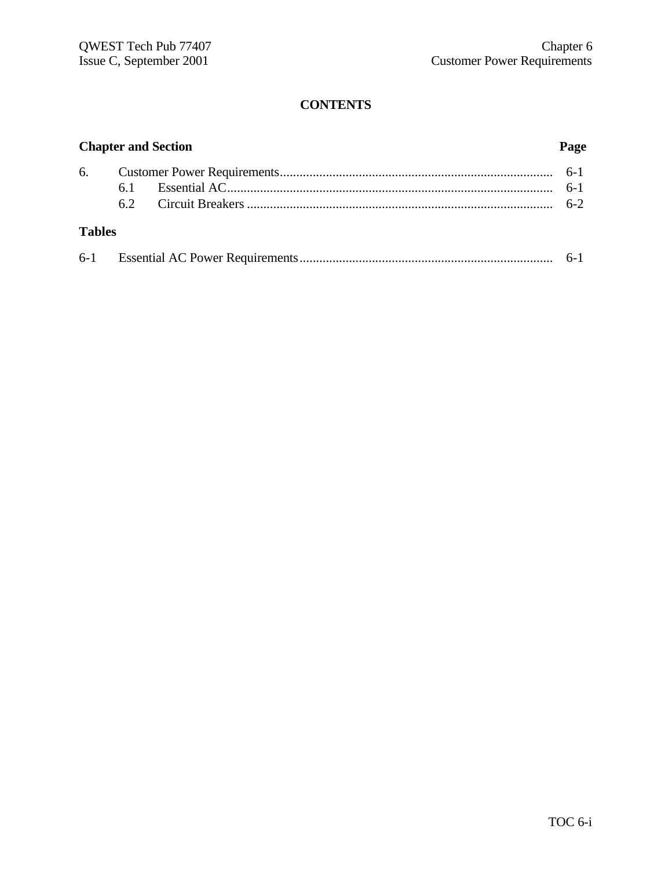# **CONTENTS**

|               | <b>Chapter and Section</b><br>Page |  |  |
|---------------|------------------------------------|--|--|
|               |                                    |  |  |
|               |                                    |  |  |
|               | 62                                 |  |  |
| <b>Tables</b> |                                    |  |  |
|               |                                    |  |  |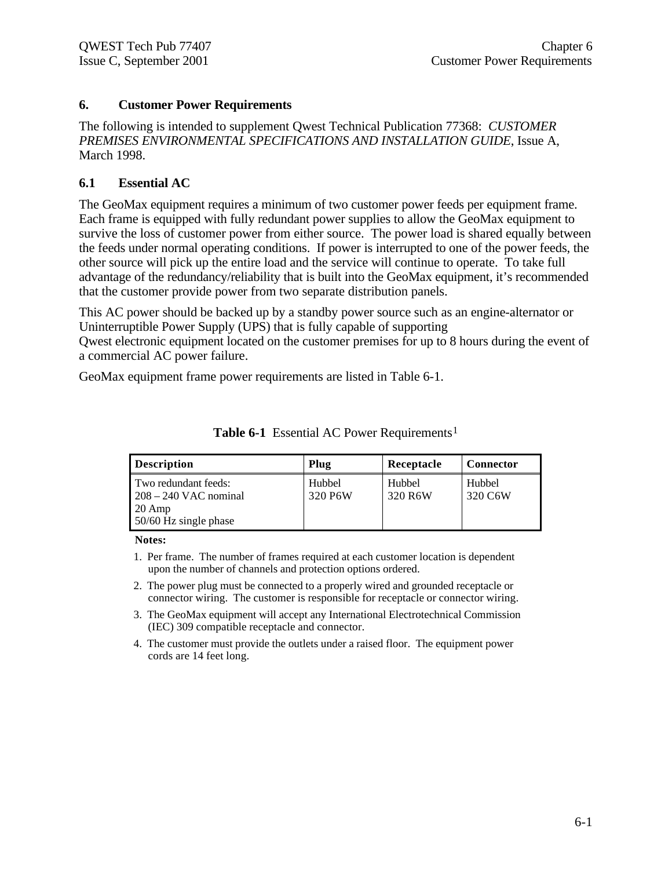#### **6. Customer Power Requirements**

The following is intended to supplement Qwest Technical Publication 77368: *CUSTOMER PREMISES ENVIRONMENTAL SPECIFICATIONS AND INSTALLATION GUIDE*, Issue A, March 1998.

#### **6.1 Essential AC**

The GeoMax equipment requires a minimum of two customer power feeds per equipment frame. Each frame is equipped with fully redundant power supplies to allow the GeoMax equipment to survive the loss of customer power from either source. The power load is shared equally between the feeds under normal operating conditions. If power is interrupted to one of the power feeds, the other source will pick up the entire load and the service will continue to operate. To take full advantage of the redundancy/reliability that is built into the GeoMax equipment, it's recommended that the customer provide power from two separate distribution panels.

This AC power should be backed up by a standby power source such as an engine-alternator or Uninterruptible Power Supply (UPS) that is fully capable of supporting

Qwest electronic equipment located on the customer premises for up to 8 hours during the event of a commercial AC power failure.

GeoMax equipment frame power requirements are listed in Table 6-1.

| <b>Description</b>                                                                           | Plug              | Receptacle        | <b>Connector</b>  |
|----------------------------------------------------------------------------------------------|-------------------|-------------------|-------------------|
| Two redundant feeds:<br>$208 - 240$ VAC nominal<br>$20 \text{ Amp}$<br>50/60 Hz single phase | Hubbel<br>320 P6W | Hubbel<br>320 R6W | Hubbel<br>320 C6W |

**Table 6-1** Essential AC Power Requirements<sup>1</sup>

**Notes:**

- 1. Per frame. The number of frames required at each customer location is dependent upon the number of channels and protection options ordered.
- 2. The power plug must be connected to a properly wired and grounded receptacle or connector wiring. The customer is responsible for receptacle or connector wiring.
- 3. The GeoMax equipment will accept any International Electrotechnical Commission (IEC) 309 compatible receptacle and connector.
- 4. The customer must provide the outlets under a raised floor. The equipment power cords are 14 feet long.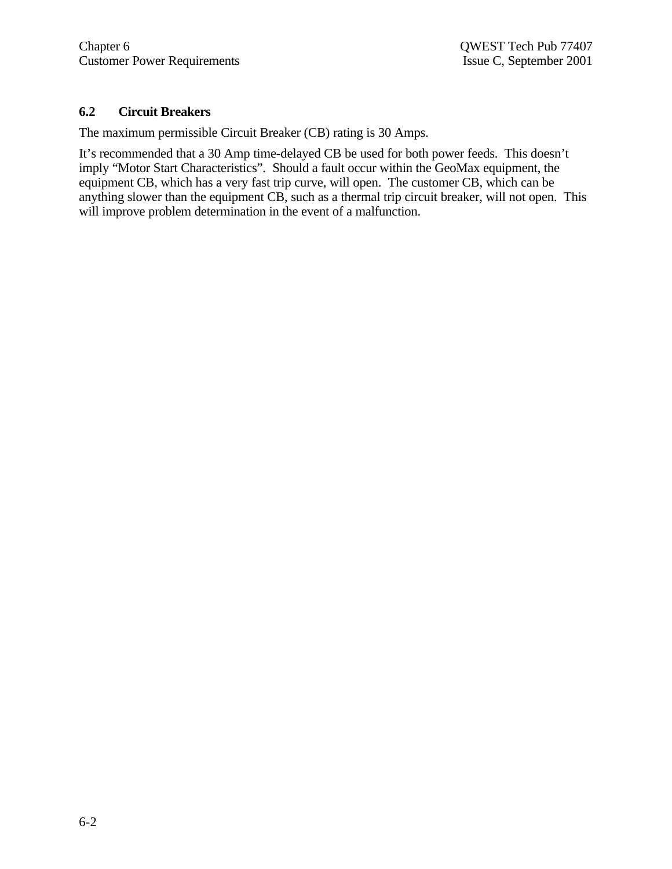#### **6.2 Circuit Breakers**

The maximum permissible Circuit Breaker (CB) rating is 30 Amps.

It's recommended that a 30 Amp time-delayed CB be used for both power feeds. This doesn't imply "Motor Start Characteristics". Should a fault occur within the GeoMax equipment, the equipment CB, which has a very fast trip curve, will open. The customer CB, which can be anything slower than the equipment CB, such as a thermal trip circuit breaker, will not open. This will improve problem determination in the event of a malfunction.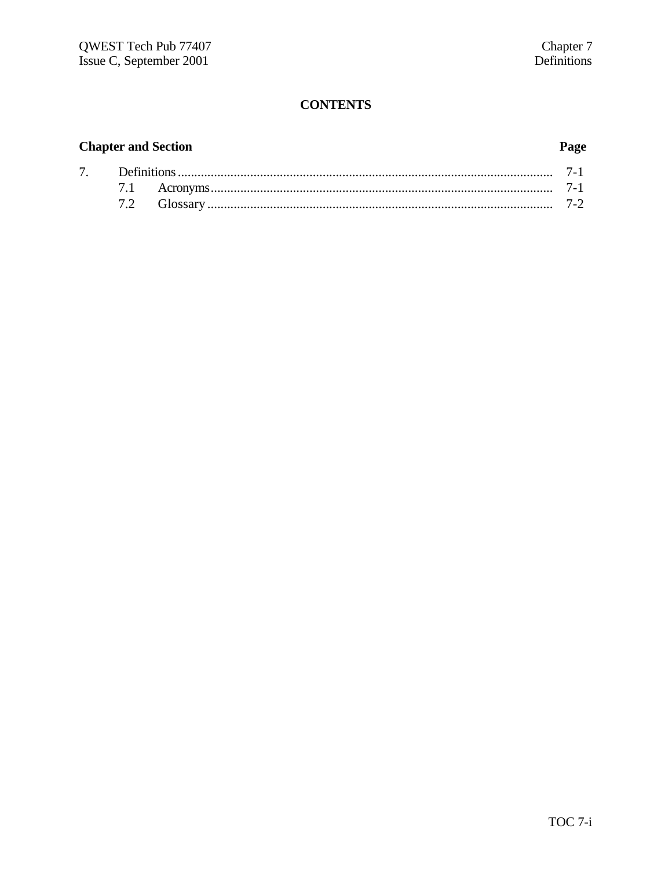# **CONTENTS**

# **Chapter and Section**

# Page

| $7^{\circ}$ |  |  |
|-------------|--|--|
|             |  |  |
|             |  |  |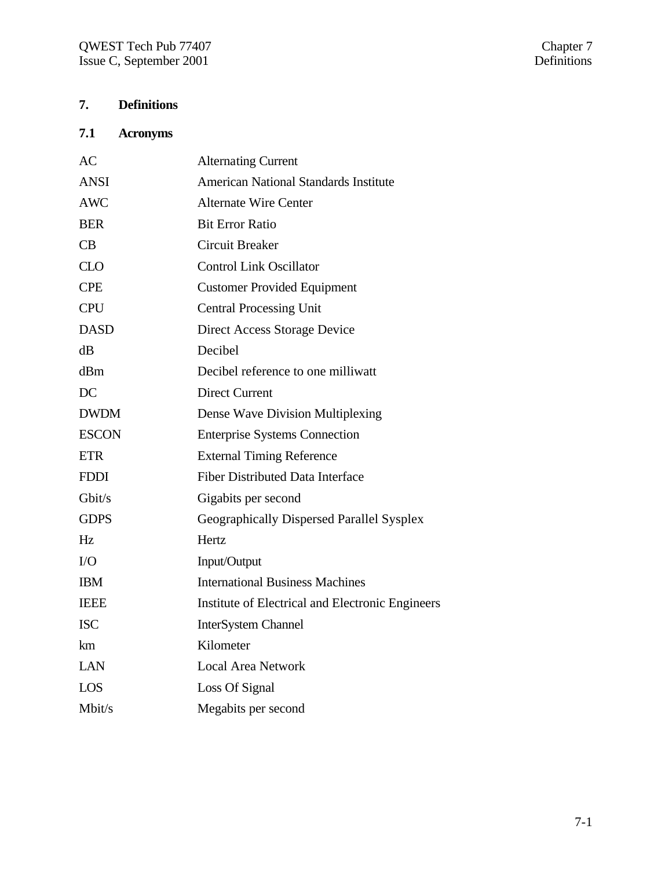# **7. Definitions**

# **7.1 Acronyms**

| <b>Alternating Current</b>                       |
|--------------------------------------------------|
| <b>American National Standards Institute</b>     |
| <b>Alternate Wire Center</b>                     |
| <b>Bit Error Ratio</b>                           |
| <b>Circuit Breaker</b>                           |
| <b>Control Link Oscillator</b>                   |
| <b>Customer Provided Equipment</b>               |
| <b>Central Processing Unit</b>                   |
| <b>Direct Access Storage Device</b>              |
| Decibel                                          |
| Decibel reference to one milliwatt               |
| <b>Direct Current</b>                            |
| Dense Wave Division Multiplexing                 |
| <b>Enterprise Systems Connection</b>             |
| <b>External Timing Reference</b>                 |
| <b>Fiber Distributed Data Interface</b>          |
| Gigabits per second                              |
| Geographically Dispersed Parallel Sysplex        |
| Hertz                                            |
| Input/Output                                     |
| <b>International Business Machines</b>           |
| Institute of Electrical and Electronic Engineers |
| <b>InterSystem Channel</b>                       |
| Kilometer                                        |
| <b>Local Area Network</b>                        |
| Loss Of Signal                                   |
| Megabits per second                              |
|                                                  |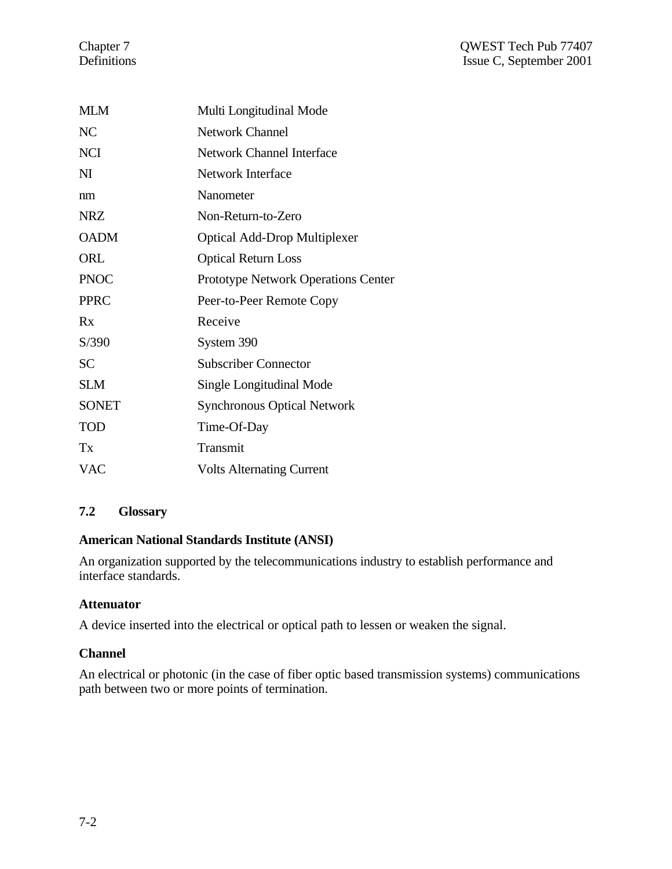| <b>MLM</b>   | Multi Longitudinal Mode             |
|--------------|-------------------------------------|
| NC           | <b>Network Channel</b>              |
| <b>NCI</b>   | <b>Network Channel Interface</b>    |
| $\mathbf{N}$ | Network Interface                   |
| nm           | Nanometer                           |
| <b>NRZ</b>   | Non-Return-to-Zero                  |
| <b>OADM</b>  | <b>Optical Add-Drop Multiplexer</b> |
| ORL          | <b>Optical Return Loss</b>          |
| <b>PNOC</b>  | Prototype Network Operations Center |
| <b>PPRC</b>  | Peer-to-Peer Remote Copy            |
| Rx           | Receive                             |
| S/390        | System 390                          |
| <b>SC</b>    | <b>Subscriber Connector</b>         |
| <b>SLM</b>   | Single Longitudinal Mode            |
| <b>SONET</b> | <b>Synchronous Optical Network</b>  |
| <b>TOD</b>   | Time-Of-Day                         |
| Tx           | Transmit                            |
| <b>VAC</b>   | <b>Volts Alternating Current</b>    |

# **7.2 Glossary**

# **American National Standards Institute (ANSI)**

An organization supported by the telecommunications industry to establish performance and interface standards.

# **Attenuator**

A device inserted into the electrical or optical path to lessen or weaken the signal.

# **Channel**

An electrical or photonic (in the case of fiber optic based transmission systems) communications path between two or more points of termination.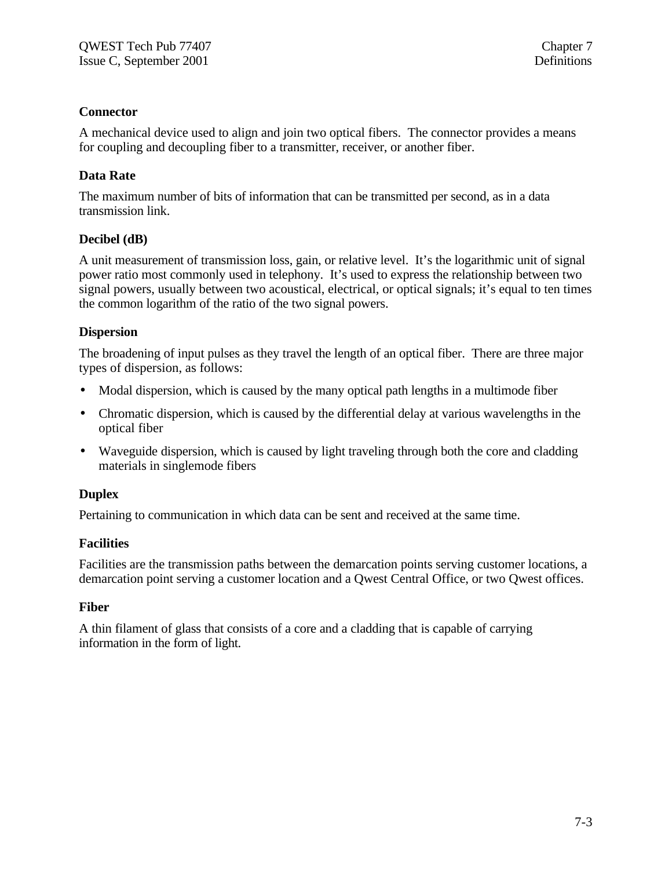# **Connector**

A mechanical device used to align and join two optical fibers. The connector provides a means for coupling and decoupling fiber to a transmitter, receiver, or another fiber.

# **Data Rate**

The maximum number of bits of information that can be transmitted per second, as in a data transmission link.

# **Decibel (dB)**

A unit measurement of transmission loss, gain, or relative level. It's the logarithmic unit of signal power ratio most commonly used in telephony. It's used to express the relationship between two signal powers, usually between two acoustical, electrical, or optical signals; it's equal to ten times the common logarithm of the ratio of the two signal powers.

# **Dispersion**

The broadening of input pulses as they travel the length of an optical fiber. There are three major types of dispersion, as follows:

- Modal dispersion, which is caused by the many optical path lengths in a multimode fiber
- Chromatic dispersion, which is caused by the differential delay at various wavelengths in the optical fiber
- Waveguide dispersion, which is caused by light traveling through both the core and cladding materials in singlemode fibers

# **Duplex**

Pertaining to communication in which data can be sent and received at the same time.

# **Facilities**

Facilities are the transmission paths between the demarcation points serving customer locations, a demarcation point serving a customer location and a Qwest Central Office, or two Qwest offices.

# **Fiber**

A thin filament of glass that consists of a core and a cladding that is capable of carrying information in the form of light.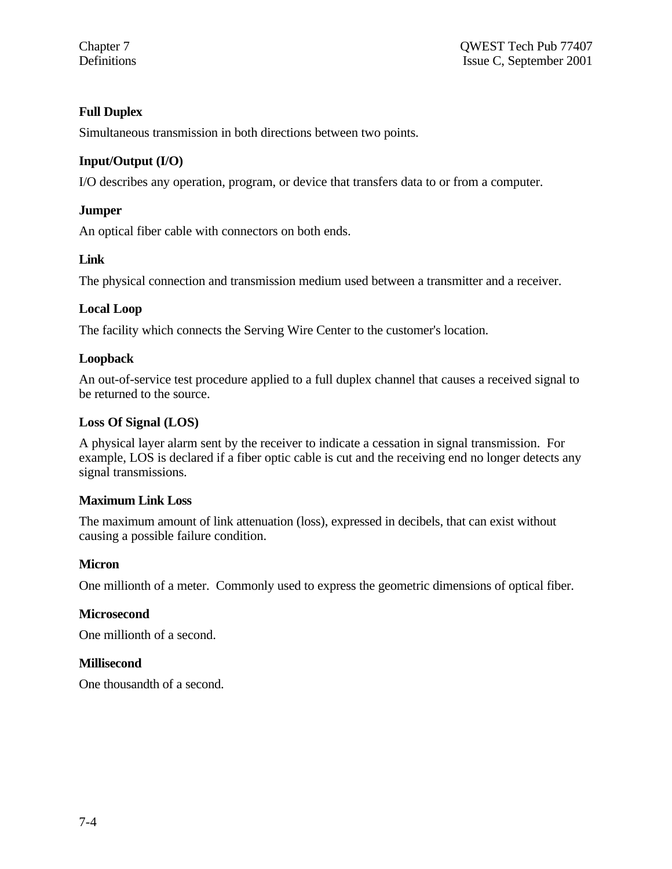# **Full Duplex**

Simultaneous transmission in both directions between two points.

# **Input/Output (I/O)**

I/O describes any operation, program, or device that transfers data to or from a computer.

# **Jumper**

An optical fiber cable with connectors on both ends.

# **Link**

The physical connection and transmission medium used between a transmitter and a receiver.

# **Local Loop**

The facility which connects the Serving Wire Center to the customer's location.

# **Loopback**

An out-of-service test procedure applied to a full duplex channel that causes a received signal to be returned to the source.

#### **Loss Of Signal (LOS)**

A physical layer alarm sent by the receiver to indicate a cessation in signal transmission. For example, LOS is declared if a fiber optic cable is cut and the receiving end no longer detects any signal transmissions.

# **Maximum Link Loss**

The maximum amount of link attenuation (loss), expressed in decibels, that can exist without causing a possible failure condition.

# **Micron**

One millionth of a meter. Commonly used to express the geometric dimensions of optical fiber.

# **Microsecond**

One millionth of a second.

# **Millisecond**

One thousandth of a second.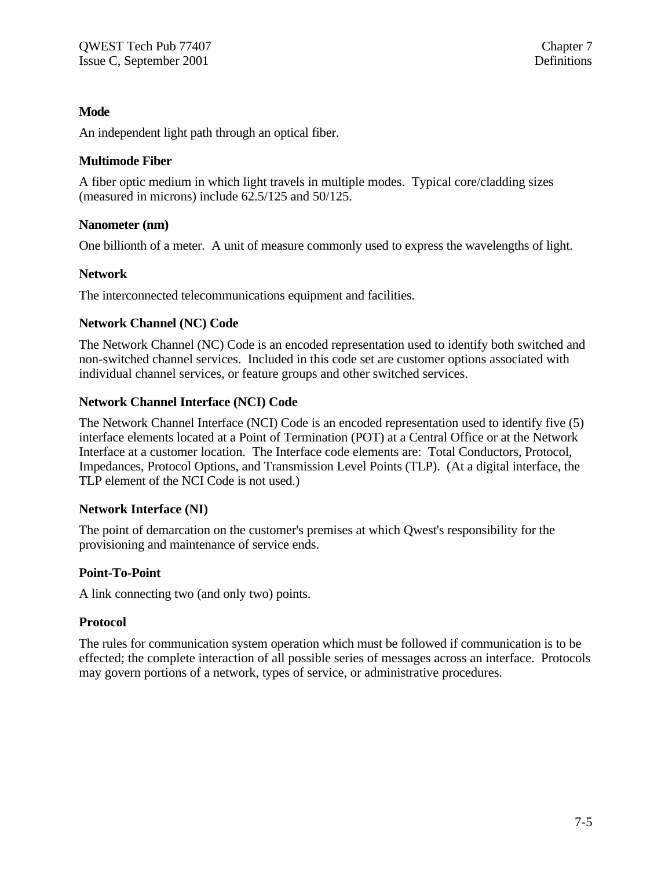#### **Mode**

An independent light path through an optical fiber.

#### **Multimode Fiber**

A fiber optic medium in which light travels in multiple modes. Typical core/cladding sizes (measured in microns) include 62.5/125 and 50/125.

#### **Nanometer (nm)**

One billionth of a meter. A unit of measure commonly used to express the wavelengths of light.

#### **Network**

The interconnected telecommunications equipment and facilities.

# **Network Channel (NC) Code**

The Network Channel (NC) Code is an encoded representation used to identify both switched and non-switched channel services. Included in this code set are customer options associated with individual channel services, or feature groups and other switched services.

# **Network Channel Interface (NCI) Code**

The Network Channel Interface (NCI) Code is an encoded representation used to identify five (5) interface elements located at a Point of Termination (POT) at a Central Office or at the Network Interface at a customer location. The Interface code elements are: Total Conductors, Protocol, Impedances, Protocol Options, and Transmission Level Points (TLP). (At a digital interface, the TLP element of the NCI Code is not used.)

#### **Network Interface (NI)**

The point of demarcation on the customer's premises at which Qwest's responsibility for the provisioning and maintenance of service ends.

# **Point-To-Point**

A link connecting two (and only two) points.

#### **Protocol**

The rules for communication system operation which must be followed if communication is to be effected; the complete interaction of all possible series of messages across an interface. Protocols may govern portions of a network, types of service, or administrative procedures.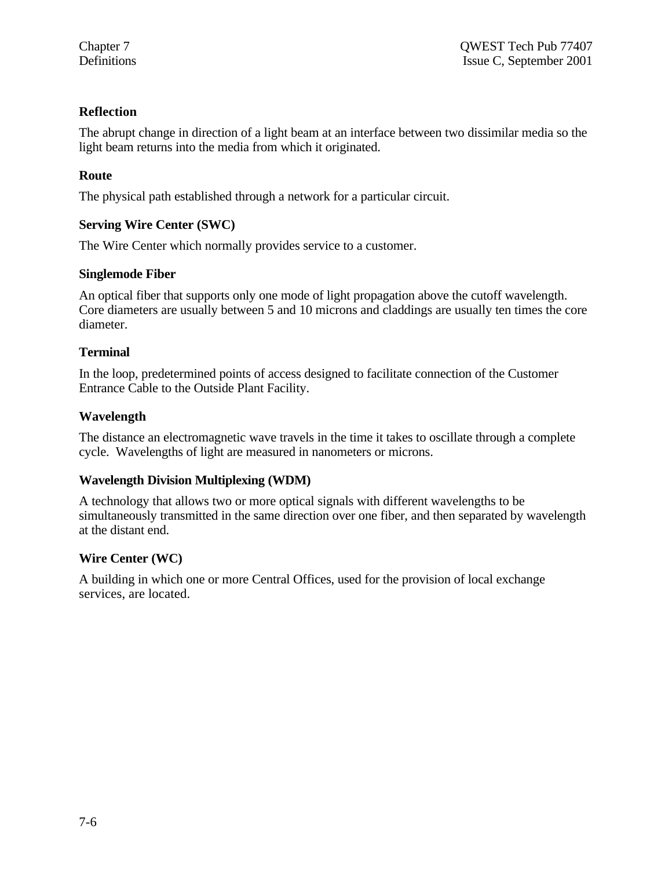# **Reflection**

The abrupt change in direction of a light beam at an interface between two dissimilar media so the light beam returns into the media from which it originated.

# **Route**

The physical path established through a network for a particular circuit.

# **Serving Wire Center (SWC)**

The Wire Center which normally provides service to a customer.

#### **Singlemode Fiber**

An optical fiber that supports only one mode of light propagation above the cutoff wavelength. Core diameters are usually between 5 and 10 microns and claddings are usually ten times the core diameter.

# **Terminal**

In the loop, predetermined points of access designed to facilitate connection of the Customer Entrance Cable to the Outside Plant Facility.

#### **Wavelength**

The distance an electromagnetic wave travels in the time it takes to oscillate through a complete cycle. Wavelengths of light are measured in nanometers or microns.

# **Wavelength Division Multiplexing (WDM)**

A technology that allows two or more optical signals with different wavelengths to be simultaneously transmitted in the same direction over one fiber, and then separated by wavelength at the distant end.

# **Wire Center (WC)**

A building in which one or more Central Offices, used for the provision of local exchange services, are located.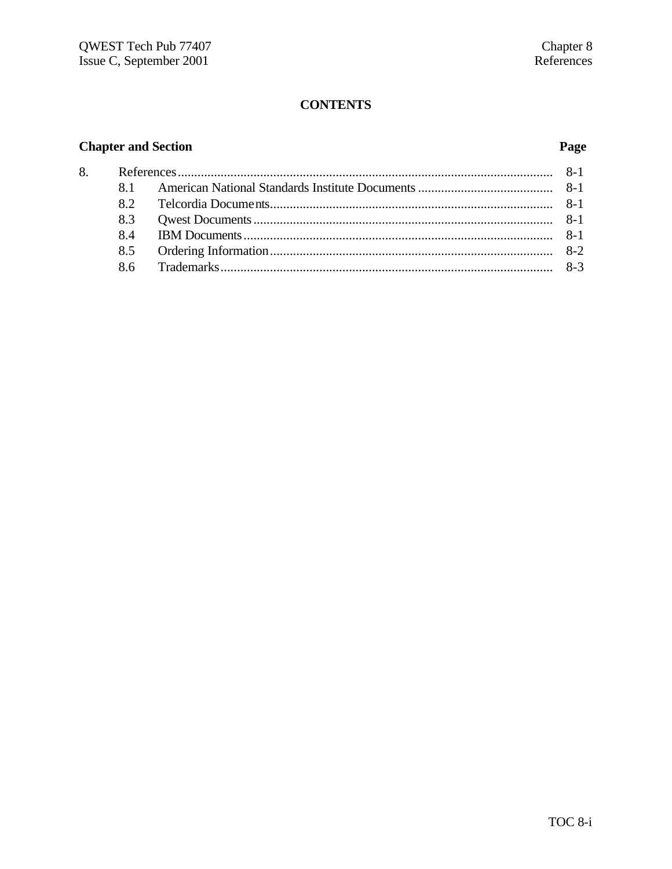# **CONTENTS**

# **Chapter and Section**

# Page

| 82 |  |  |  |
|----|--|--|--|
|    |  |  |  |
| 84 |  |  |  |
|    |  |  |  |
|    |  |  |  |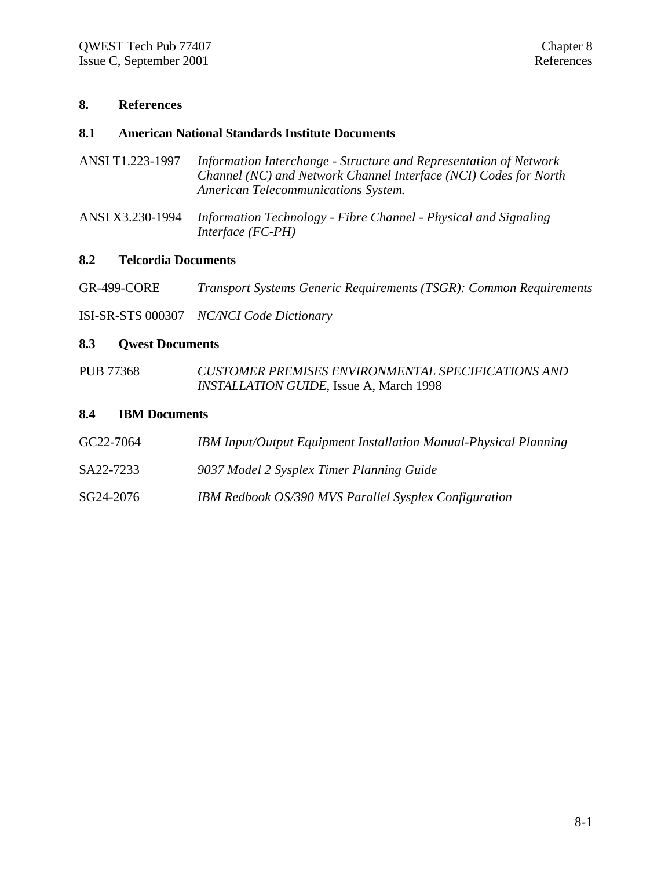#### **8. References**

#### **8.1 American National Standards Institute Documents**

- ANSI T1.223-1997 *Information Interchange Structure and Representation of Network Channel (NC) and Network Channel Interface (NCI) Codes for North American Telecommunications System*.
- ANSI X3.230-1994 *Information Technology Fibre Channel Physical and Signaling Interface (FC-PH)*

#### **8.2 Telcordia Documents**

| <b>GR-499-CORE</b> |  | <b>Transport Systems Generic Requirements (TSGR): Common Requirements</b> |  |  |
|--------------------|--|---------------------------------------------------------------------------|--|--|
|                    |  |                                                                           |  |  |

ISI-SR-STS 000307 *NC/NCI Code Dictionary*

#### **8.3 Qwest Documents**

PUB 77368 *CUSTOMER PREMISES ENVIRONMENTAL SPECIFICATIONS AND INSTALLATION GUIDE*, Issue A, March 1998

#### **8.4 IBM Documents**

- GC22-7064 *IBM Input/Output Equipment Installation Manual-Physical Planning*
- SA22-7233 *9037 Model 2 Sysplex Timer Planning Guide*
- SG24-2076 *IBM Redbook OS/390 MVS Parallel Sysplex Configuration*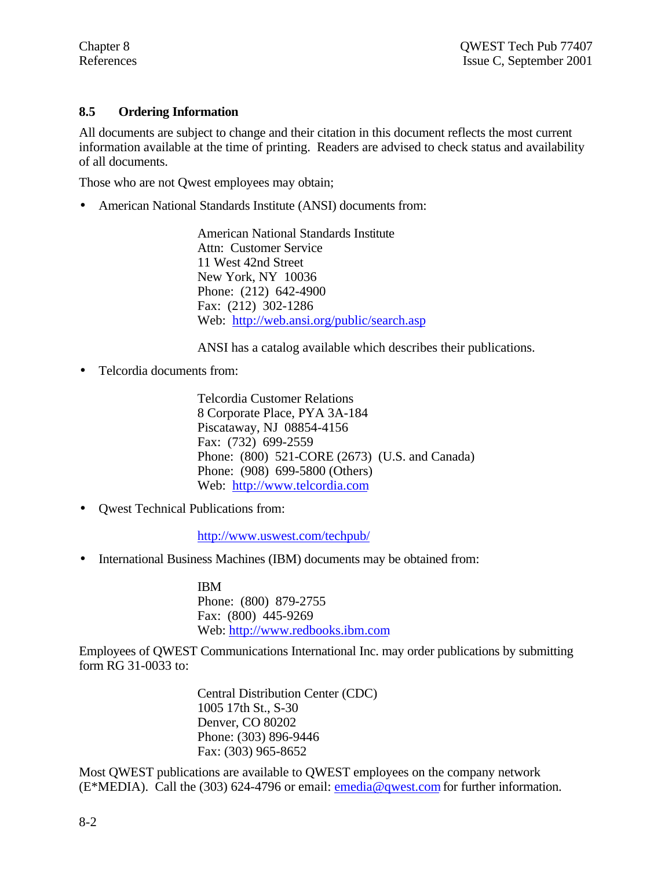# **8.5 Ordering Information**

All documents are subject to change and their citation in this document reflects the most current information available at the time of printing. Readers are advised to check status and availability of all documents.

Those who are not Qwest employees may obtain;

• American National Standards Institute (ANSI) documents from:

American National Standards Institute Attn: Customer Service 11 West 42nd Street New York, NY 10036 Phone: (212) 642-4900 Fax: (212) 302-1286 Web: http://web.ansi.org/public/search.asp

ANSI has a catalog available which describes their publications.

• Telcordia documents from:

Telcordia Customer Relations 8 Corporate Place, PYA 3A-184 Piscataway, NJ 08854-4156 Fax: (732) 699-2559 Phone: (800) 521-CORE (2673) (U.S. and Canada) Phone: (908) 699-5800 (Others) Web: http://www.telcordia.com

• Qwest Technical Publications from:

http://www.uswest.com/techpub/

• International Business Machines (IBM) documents may be obtained from:

IBM Phone: (800) 879-2755 Fax: (800) 445-9269 Web: http://www.redbooks.ibm.com

Employees of QWEST Communications International Inc. may order publications by submitting form RG 31-0033 to:

> Central Distribution Center (CDC) 1005 17th St., S-30 Denver, CO 80202 Phone: (303) 896-9446 Fax: (303) 965-8652

Most QWEST publications are available to QWEST employees on the company network (E\*MEDIA). Call the (303) 624-4796 or email: emedia@qwest.com for further information.